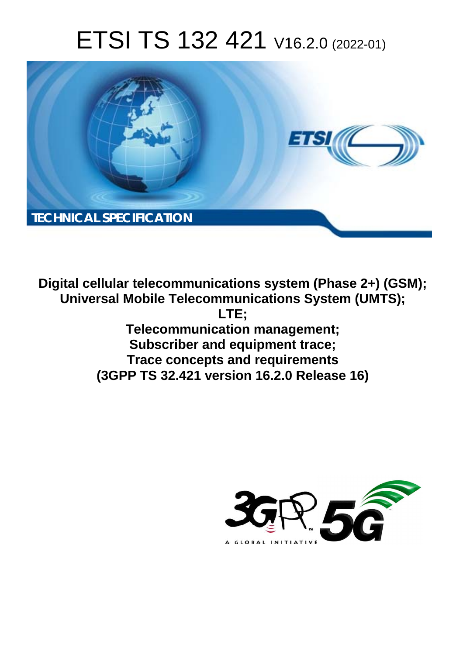# ETSI TS 132 421 V16.2.0 (2022-01)



**Digital cellular telecommunications system (Phase 2+) (GSM); Universal Mobile Telecommunications System (UMTS); LTE; Telecommunication management; Subscriber and equipment trace; Trace concepts and requirements (3GPP TS 32.421 version 16.2.0 Release 16)** 

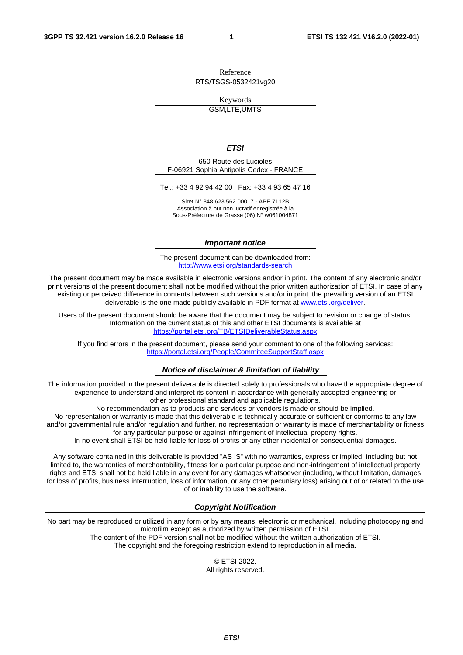Reference RTS/TSGS-0532421vg20

Keywords

GSM,LTE,UMTS

#### *ETSI*

650 Route des Lucioles F-06921 Sophia Antipolis Cedex - FRANCE

Tel.: +33 4 92 94 42 00 Fax: +33 4 93 65 47 16

Siret N° 348 623 562 00017 - APE 7112B Association à but non lucratif enregistrée à la Sous-Préfecture de Grasse (06) N° w061004871

#### *Important notice*

The present document can be downloaded from: <http://www.etsi.org/standards-search>

The present document may be made available in electronic versions and/or in print. The content of any electronic and/or print versions of the present document shall not be modified without the prior written authorization of ETSI. In case of any existing or perceived difference in contents between such versions and/or in print, the prevailing version of an ETSI deliverable is the one made publicly available in PDF format at [www.etsi.org/deliver](http://www.etsi.org/deliver).

Users of the present document should be aware that the document may be subject to revision or change of status. Information on the current status of this and other ETSI documents is available at <https://portal.etsi.org/TB/ETSIDeliverableStatus.aspx>

If you find errors in the present document, please send your comment to one of the following services: <https://portal.etsi.org/People/CommiteeSupportStaff.aspx>

#### *Notice of disclaimer & limitation of liability*

The information provided in the present deliverable is directed solely to professionals who have the appropriate degree of experience to understand and interpret its content in accordance with generally accepted engineering or other professional standard and applicable regulations.

No recommendation as to products and services or vendors is made or should be implied.

No representation or warranty is made that this deliverable is technically accurate or sufficient or conforms to any law and/or governmental rule and/or regulation and further, no representation or warranty is made of merchantability or fitness for any particular purpose or against infringement of intellectual property rights.

In no event shall ETSI be held liable for loss of profits or any other incidental or consequential damages.

Any software contained in this deliverable is provided "AS IS" with no warranties, express or implied, including but not limited to, the warranties of merchantability, fitness for a particular purpose and non-infringement of intellectual property rights and ETSI shall not be held liable in any event for any damages whatsoever (including, without limitation, damages for loss of profits, business interruption, loss of information, or any other pecuniary loss) arising out of or related to the use of or inability to use the software.

#### *Copyright Notification*

No part may be reproduced or utilized in any form or by any means, electronic or mechanical, including photocopying and microfilm except as authorized by written permission of ETSI. The content of the PDF version shall not be modified without the written authorization of ETSI.

The copyright and the foregoing restriction extend to reproduction in all media.

© ETSI 2022. All rights reserved.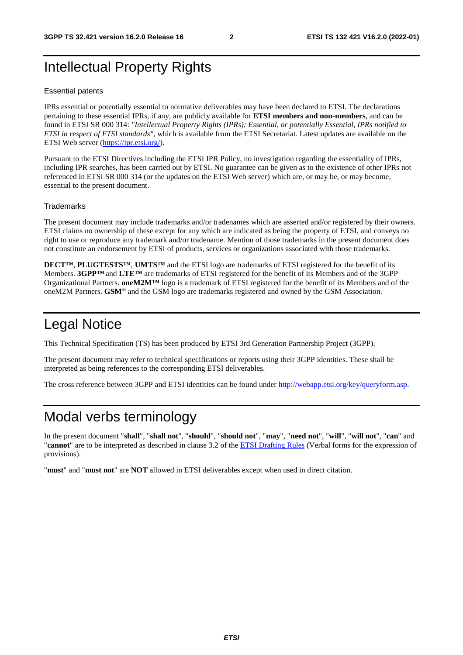## Intellectual Property Rights

#### Essential patents

IPRs essential or potentially essential to normative deliverables may have been declared to ETSI. The declarations pertaining to these essential IPRs, if any, are publicly available for **ETSI members and non-members**, and can be found in ETSI SR 000 314: *"Intellectual Property Rights (IPRs); Essential, or potentially Essential, IPRs notified to ETSI in respect of ETSI standards"*, which is available from the ETSI Secretariat. Latest updates are available on the ETSI Web server ([https://ipr.etsi.org/\)](https://ipr.etsi.org/).

Pursuant to the ETSI Directives including the ETSI IPR Policy, no investigation regarding the essentiality of IPRs, including IPR searches, has been carried out by ETSI. No guarantee can be given as to the existence of other IPRs not referenced in ETSI SR 000 314 (or the updates on the ETSI Web server) which are, or may be, or may become, essential to the present document.

#### **Trademarks**

The present document may include trademarks and/or tradenames which are asserted and/or registered by their owners. ETSI claims no ownership of these except for any which are indicated as being the property of ETSI, and conveys no right to use or reproduce any trademark and/or tradename. Mention of those trademarks in the present document does not constitute an endorsement by ETSI of products, services or organizations associated with those trademarks.

**DECT™**, **PLUGTESTS™**, **UMTS™** and the ETSI logo are trademarks of ETSI registered for the benefit of its Members. **3GPP™** and **LTE™** are trademarks of ETSI registered for the benefit of its Members and of the 3GPP Organizational Partners. **oneM2M™** logo is a trademark of ETSI registered for the benefit of its Members and of the oneM2M Partners. **GSM**® and the GSM logo are trademarks registered and owned by the GSM Association.

### Legal Notice

This Technical Specification (TS) has been produced by ETSI 3rd Generation Partnership Project (3GPP).

The present document may refer to technical specifications or reports using their 3GPP identities. These shall be interpreted as being references to the corresponding ETSI deliverables.

The cross reference between 3GPP and ETSI identities can be found under<http://webapp.etsi.org/key/queryform.asp>.

### Modal verbs terminology

In the present document "**shall**", "**shall not**", "**should**", "**should not**", "**may**", "**need not**", "**will**", "**will not**", "**can**" and "**cannot**" are to be interpreted as described in clause 3.2 of the [ETSI Drafting Rules](https://portal.etsi.org/Services/editHelp!/Howtostart/ETSIDraftingRules.aspx) (Verbal forms for the expression of provisions).

"**must**" and "**must not**" are **NOT** allowed in ETSI deliverables except when used in direct citation.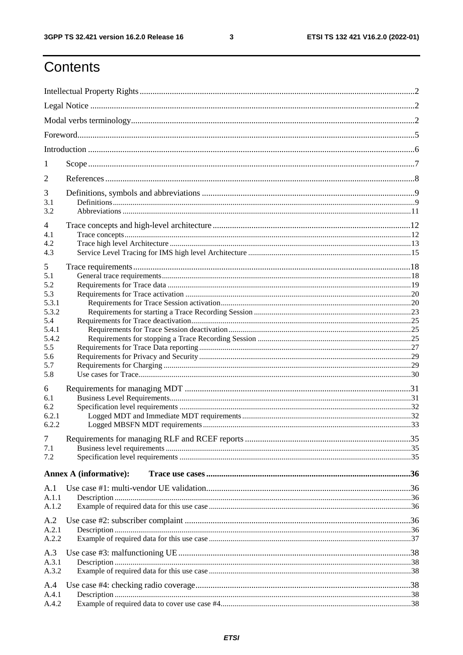$\mathbf{3}$ 

## Contents

| 1              |                               |  |  |  |  |  |  |
|----------------|-------------------------------|--|--|--|--|--|--|
| $\overline{2}$ |                               |  |  |  |  |  |  |
| 3              |                               |  |  |  |  |  |  |
| 3.1            |                               |  |  |  |  |  |  |
| 3.2            |                               |  |  |  |  |  |  |
| 4<br>4.1       |                               |  |  |  |  |  |  |
| 4.2            |                               |  |  |  |  |  |  |
| 4.3            |                               |  |  |  |  |  |  |
| 5              |                               |  |  |  |  |  |  |
| 5.1            |                               |  |  |  |  |  |  |
| 5.2            |                               |  |  |  |  |  |  |
| 5.3            |                               |  |  |  |  |  |  |
| 5.3.1          |                               |  |  |  |  |  |  |
| 5.3.2<br>5.4   |                               |  |  |  |  |  |  |
| 5.4.1          |                               |  |  |  |  |  |  |
| 5.4.2          |                               |  |  |  |  |  |  |
| 5.5            |                               |  |  |  |  |  |  |
| 5.6            |                               |  |  |  |  |  |  |
| 5.7            |                               |  |  |  |  |  |  |
| 5.8            |                               |  |  |  |  |  |  |
| 6              |                               |  |  |  |  |  |  |
| 6.1            |                               |  |  |  |  |  |  |
| 6.2            |                               |  |  |  |  |  |  |
| 6.2.1          |                               |  |  |  |  |  |  |
| 6.2.2          |                               |  |  |  |  |  |  |
| $\overline{7}$ |                               |  |  |  |  |  |  |
| 7.1            |                               |  |  |  |  |  |  |
| 7.2            |                               |  |  |  |  |  |  |
|                | <b>Annex A (informative):</b> |  |  |  |  |  |  |
| A.1            |                               |  |  |  |  |  |  |
| A.1.1          |                               |  |  |  |  |  |  |
| A.1.2          |                               |  |  |  |  |  |  |
|                |                               |  |  |  |  |  |  |
| A.2            |                               |  |  |  |  |  |  |
| A.2.1<br>A.2.2 |                               |  |  |  |  |  |  |
|                |                               |  |  |  |  |  |  |
| A.3            |                               |  |  |  |  |  |  |
| A.3.1          |                               |  |  |  |  |  |  |
| A.3.2          |                               |  |  |  |  |  |  |
| A.4            |                               |  |  |  |  |  |  |
| A.4.1          |                               |  |  |  |  |  |  |
| A.4.2          |                               |  |  |  |  |  |  |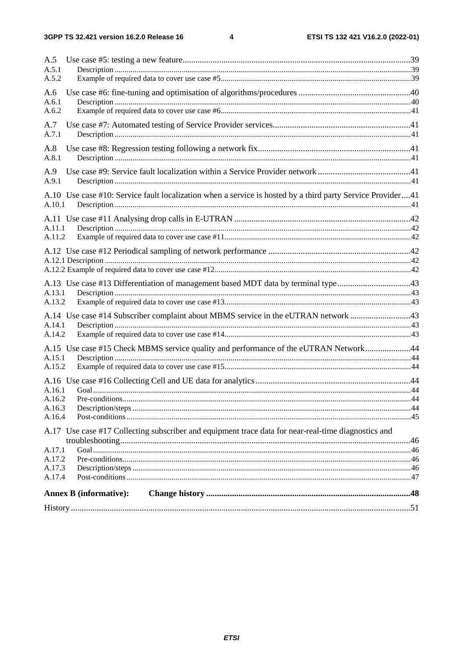#### $\overline{\mathbf{4}}$

| A.5              |                                                                                                            |  |
|------------------|------------------------------------------------------------------------------------------------------------|--|
| A.5.1            |                                                                                                            |  |
| A.5.2            |                                                                                                            |  |
| A.6              |                                                                                                            |  |
| A.6.1<br>A.6.2   |                                                                                                            |  |
|                  |                                                                                                            |  |
| A.7<br>A.7.1     |                                                                                                            |  |
|                  |                                                                                                            |  |
| A.8<br>A.8.1     |                                                                                                            |  |
| A.9              |                                                                                                            |  |
| A.9.1            |                                                                                                            |  |
|                  | A.10 Use case #10: Service fault localization when a service is hosted by a third party Service Provider41 |  |
| A.10.1           |                                                                                                            |  |
|                  |                                                                                                            |  |
| A.11.1           |                                                                                                            |  |
| A.11.2           |                                                                                                            |  |
|                  |                                                                                                            |  |
|                  |                                                                                                            |  |
|                  |                                                                                                            |  |
|                  | A.13 Use case #13 Differentiation of management based MDT data by terminal type43                          |  |
| A.13.1           |                                                                                                            |  |
| A.13.2           |                                                                                                            |  |
|                  | A.14 Use case #14 Subscriber complaint about MBMS service in the eUTRAN network 43                         |  |
| A.14.1           |                                                                                                            |  |
| A.14.2           |                                                                                                            |  |
|                  | A.15 Use case #15 Check MBMS service quality and performance of the eUTRAN Network44                       |  |
| A.15.1           |                                                                                                            |  |
| A.15.2           |                                                                                                            |  |
|                  |                                                                                                            |  |
| A.16.1           |                                                                                                            |  |
| A.16.2<br>A.16.3 |                                                                                                            |  |
| A.16.4           |                                                                                                            |  |
|                  | A.17 Use case #17 Collecting subscriber and equipment trace data for near-real-time diagnostics and        |  |
|                  |                                                                                                            |  |
| A.17.1           |                                                                                                            |  |
| A.17.2           |                                                                                                            |  |
| A.17.3           |                                                                                                            |  |
| A.17.4           |                                                                                                            |  |
|                  | <b>Annex B</b> (informative):                                                                              |  |
|                  |                                                                                                            |  |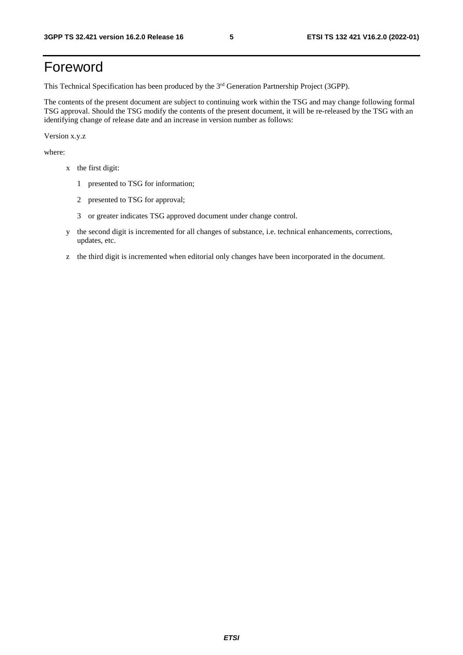## Foreword

This Technical Specification has been produced by the 3<sup>rd</sup> Generation Partnership Project (3GPP).

The contents of the present document are subject to continuing work within the TSG and may change following formal TSG approval. Should the TSG modify the contents of the present document, it will be re-released by the TSG with an identifying change of release date and an increase in version number as follows:

Version x.y.z

where:

- x the first digit:
	- 1 presented to TSG for information;
	- 2 presented to TSG for approval;
	- 3 or greater indicates TSG approved document under change control.
- y the second digit is incremented for all changes of substance, i.e. technical enhancements, corrections, updates, etc.
- z the third digit is incremented when editorial only changes have been incorporated in the document.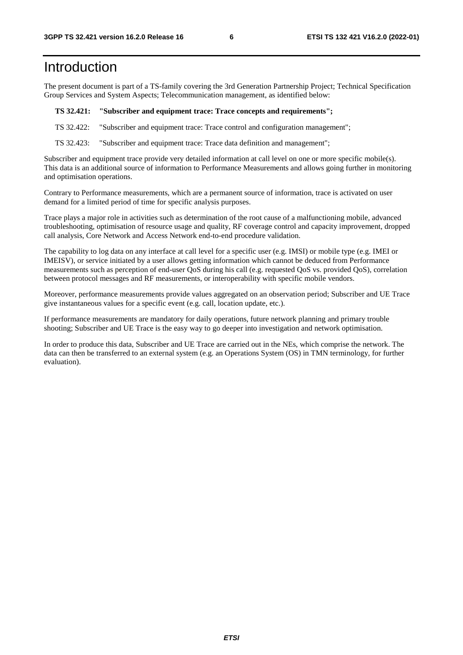### Introduction

The present document is part of a TS-family covering the 3rd Generation Partnership Project; Technical Specification Group Services and System Aspects; Telecommunication management, as identified below:

#### **TS 32.421: "Subscriber and equipment trace: Trace concepts and requirements";**

TS 32.422: "Subscriber and equipment trace: Trace control and configuration management";

TS 32.423: "Subscriber and equipment trace: Trace data definition and management";

Subscriber and equipment trace provide very detailed information at call level on one or more specific mobile(s). This data is an additional source of information to Performance Measurements and allows going further in monitoring and optimisation operations.

Contrary to Performance measurements, which are a permanent source of information, trace is activated on user demand for a limited period of time for specific analysis purposes.

Trace plays a major role in activities such as determination of the root cause of a malfunctioning mobile, advanced troubleshooting, optimisation of resource usage and quality, RF coverage control and capacity improvement, dropped call analysis, Core Network and Access Network end-to-end procedure validation.

The capability to log data on any interface at call level for a specific user (e.g. IMSI) or mobile type (e.g. IMEI or IMEISV), or service initiated by a user allows getting information which cannot be deduced from Performance measurements such as perception of end-user QoS during his call (e.g. requested QoS vs. provided QoS), correlation between protocol messages and RF measurements, or interoperability with specific mobile vendors.

Moreover, performance measurements provide values aggregated on an observation period; Subscriber and UE Trace give instantaneous values for a specific event (e.g. call, location update, etc.).

If performance measurements are mandatory for daily operations, future network planning and primary trouble shooting; Subscriber and UE Trace is the easy way to go deeper into investigation and network optimisation.

In order to produce this data, Subscriber and UE Trace are carried out in the NEs, which comprise the network. The data can then be transferred to an external system (e.g. an Operations System (OS) in TMN terminology, for further evaluation).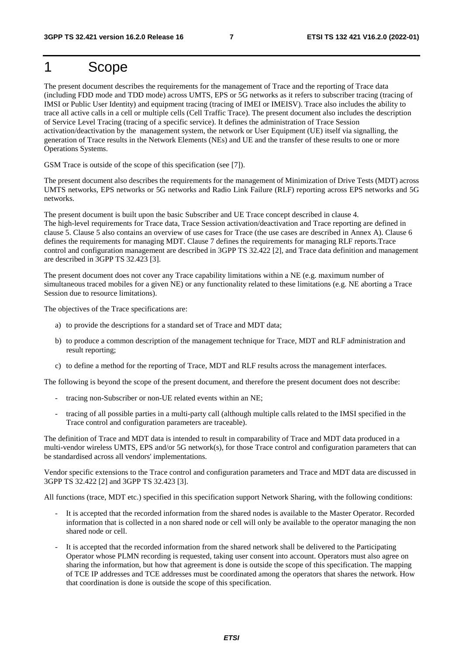### 1 Scope

The present document describes the requirements for the management of Trace and the reporting of Trace data (including FDD mode and TDD mode) across UMTS, EPS or 5G networks as it refers to subscriber tracing (tracing of IMSI or Public User Identity) and equipment tracing (tracing of IMEI or IMEISV). Trace also includes the ability to trace all active calls in a cell or multiple cells (Cell Traffic Trace). The present document also includes the description of Service Level Tracing (tracing of a specific service). It defines the administration of Trace Session activation/deactivation by the management system, the network or User Equipment (UE) itself via signalling, the generation of Trace results in the Network Elements (NEs) and UE and the transfer of these results to one or more Operations Systems.

GSM Trace is outside of the scope of this specification (see [7]).

The present document also describes the requirements for the management of Minimization of Drive Tests (MDT) across UMTS networks, EPS networks or 5G networks and Radio Link Failure (RLF) reporting across EPS networks and 5G networks.

The present document is built upon the basic Subscriber and UE Trace concept described in clause 4. The high-level requirements for Trace data, Trace Session activation/deactivation and Trace reporting are defined in clause 5. Clause 5 also contains an overview of use cases for Trace (the use cases are described in Annex A). Clause 6 defines the requirements for managing MDT. Clause 7 defines the requirements for managing RLF reports.Trace control and configuration management are described in 3GPP TS 32.422 [2], and Trace data definition and management are described in 3GPP TS 32.423 [3].

The present document does not cover any Trace capability limitations within a NE (e.g. maximum number of simultaneous traced mobiles for a given NE) or any functionality related to these limitations (e.g. NE aborting a Trace Session due to resource limitations).

The objectives of the Trace specifications are:

- a) to provide the descriptions for a standard set of Trace and MDT data;
- b) to produce a common description of the management technique for Trace, MDT and RLF administration and result reporting;
- c) to define a method for the reporting of Trace, MDT and RLF results across the management interfaces.

The following is beyond the scope of the present document, and therefore the present document does not describe:

- tracing non-Subscriber or non-UE related events within an NE;
- tracing of all possible parties in a multi-party call (although multiple calls related to the IMSI specified in the Trace control and configuration parameters are traceable).

The definition of Trace and MDT data is intended to result in comparability of Trace and MDT data produced in a multi-vendor wireless UMTS, EPS and/or 5G network(s), for those Trace control and configuration parameters that can be standardised across all vendors' implementations.

Vendor specific extensions to the Trace control and configuration parameters and Trace and MDT data are discussed in 3GPP TS 32.422 [2] and 3GPP TS 32.423 [3].

All functions (trace, MDT etc.) specified in this specification support Network Sharing, with the following conditions:

- It is accepted that the recorded information from the shared nodes is available to the Master Operator. Recorded information that is collected in a non shared node or cell will only be available to the operator managing the non shared node or cell.
- It is accepted that the recorded information from the shared network shall be delivered to the Participating Operator whose PLMN recording is requested, taking user consent into account. Operators must also agree on sharing the information, but how that agreement is done is outside the scope of this specification. The mapping of TCE IP addresses and TCE addresses must be coordinated among the operators that shares the network. How that coordination is done is outside the scope of this specification.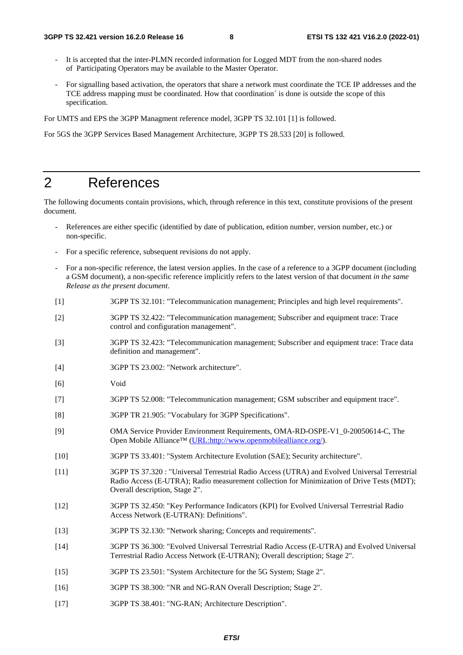- It is accepted that the inter-PLMN recorded information for Logged MDT from the non-shared nodes of Participating Operators may be available to the Master Operator.
- For signalling based activation, the operators that share a network must coordinate the TCE IP addresses and the TCE address mapping must be coordinated. How that coordination´ is done is outside the scope of this specification.

For UMTS and EPS the 3GPP Managment reference model, 3GPP TS 32.101 [1] is followed.

For 5GS the 3GPP Services Based Management Architecture, 3GPP TS 28.533 [20] is followed.

### 2 References

The following documents contain provisions, which, through reference in this text, constitute provisions of the present document.

- References are either specific (identified by date of publication, edition number, version number, etc.) or non-specific.
- For a specific reference, subsequent revisions do not apply.
- For a non-specific reference, the latest version applies. In the case of a reference to a 3GPP document (including a GSM document), a non-specific reference implicitly refers to the latest version of that document *in the same Release as the present document*.
- [1] 3GPP TS 32.101: "Telecommunication management; Principles and high level requirements".
- [2] 3GPP TS 32.422: "Telecommunication management; Subscriber and equipment trace: Trace control and configuration management".
- [3] 3GPP TS 32.423: "Telecommunication management; Subscriber and equipment trace: Trace data definition and management".
- [4] 3GPP TS 23.002: "Network architecture".
- [6] Void
- [7] 3GPP TS 52.008: "Telecommunication management; GSM subscriber and equipment trace".
- [8] 3GPP TR 21.905: "Vocabulary for 3GPP Specifications".
- [9] OMA Service Provider Environment Requirements, OMA-RD-OSPE-V1\_0-20050614-C, The Open Mobile Alliance™ ([URL:http://www.openmobilealliance.org/](http://www.openmobilealliance.org/)).
- [10] 3GPP TS 33.401: "System Architecture Evolution (SAE); Security architecture".
- [11] 3GPP TS 37.320 : "Universal Terrestrial Radio Access (UTRA) and Evolved Universal Terrestrial Radio Access (E-UTRA); Radio measurement collection for Minimization of Drive Tests (MDT); Overall description, Stage 2".
- [12] 3GPP TS 32.450: "Key Performance Indicators (KPI) for Evolved Universal Terrestrial Radio Access Network (E-UTRAN): Definitions".
- [13] 3GPP TS 32.130: "Network sharing; Concepts and requirements".
- [14] 3GPP TS 36.300: "Evolved Universal Terrestrial Radio Access (E-UTRA) and Evolved Universal Terrestrial Radio Access Network (E-UTRAN); Overall description; Stage 2".
- [15] 3GPP TS 23.501: "System Architecture for the 5G System; Stage 2".
- [16] 3GPP TS 38.300: "NR and NG-RAN Overall Description; Stage 2".
- [17] 3GPP TS 38.401: "NG-RAN; Architecture Description".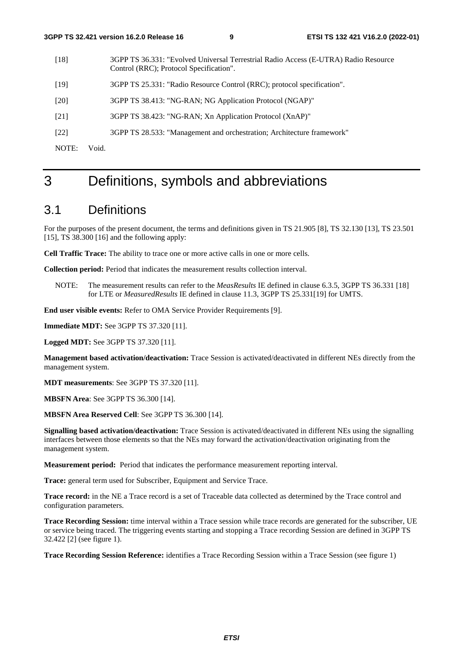- [18] 3GPP TS 36.331: "Evolved Universal Terrestrial Radio Access (E-UTRA) Radio Resource Control (RRC); Protocol Specification".
- [19] 3GPP TS 25.331: "Radio Resource Control (RRC); protocol specification".
- [20] 3GPP TS 38.413: "NG-RAN; NG Application Protocol (NGAP)"
- [21] 3GPP TS 38.423: "NG-RAN; Xn Application Protocol (XnAP)"
- [22] 3GPP TS 28.533: "Management and orchestration; Architecture framework"

NOTE: Void.

### 3 Definitions, symbols and abbreviations

#### 3.1 Definitions

For the purposes of the present document, the terms and definitions given in TS 21.905 [8], TS 32.130 [13], TS 23.501 [15], TS 38.300 [16] and the following apply:

**Cell Traffic Trace:** The ability to trace one or more active calls in one or more cells.

**Collection period:** Period that indicates the measurement results collection interval.

NOTE: The measurement results can refer to the *MeasResults* IE defined in clause 6.3.5, 3GPP TS 36.331 [18] for LTE or *MeasuredResults* IE defined in clause 11.3, 3GPP TS 25.331[19] for UMTS.

**End user visible events:** Refer to OMA Service Provider Requirements [9].

**Immediate MDT:** See 3GPP TS 37.320 [11].

**Logged MDT:** See 3GPP TS 37.320 [11].

**Management based activation/deactivation:** Trace Session is activated/deactivated in different NEs directly from the management system.

**MDT measurements**: See 3GPP TS 37.320 [11].

**MBSFN Area**: See 3GPP TS 36.300 [14].

**MBSFN Area Reserved Cell**: See 3GPP TS 36.300 [14].

**Signalling based activation/deactivation:** Trace Session is activated/deactivated in different NEs using the signalling interfaces between those elements so that the NEs may forward the activation/deactivation originating from the management system.

**Measurement period:** Period that indicates the performance measurement reporting interval.

**Trace:** general term used for Subscriber, Equipment and Service Trace.

**Trace record:** in the NE a Trace record is a set of Traceable data collected as determined by the Trace control and configuration parameters.

**Trace Recording Session:** time interval within a Trace session while trace records are generated for the subscriber, UE or service being traced. The triggering events starting and stopping a Trace recording Session are defined in 3GPP TS 32.422 [2] (see figure 1).

**Trace Recording Session Reference:** identifies a Trace Recording Session within a Trace Session (see figure 1)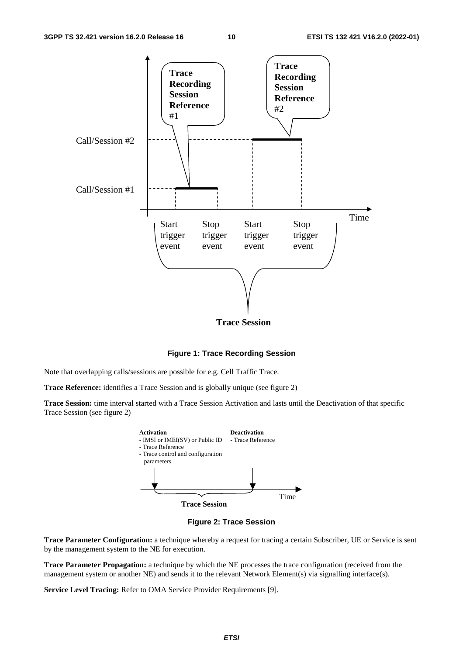

**Figure 1: Trace Recording Session** 

Note that overlapping calls/sessions are possible for e.g. Cell Traffic Trace.

**Trace Reference:** identifies a Trace Session and is globally unique (see figure 2)

**Trace Session:** time interval started with a Trace Session Activation and lasts until the Deactivation of that specific Trace Session (see figure 2)





**Trace Parameter Configuration:** a technique whereby a request for tracing a certain Subscriber, UE or Service is sent by the management system to the NE for execution.

**Trace Parameter Propagation:** a technique by which the NE processes the trace configuration (received from the management system or another NE) and sends it to the relevant Network Element(s) via signalling interface(s).

**Service Level Tracing:** Refer to OMA Service Provider Requirements [9].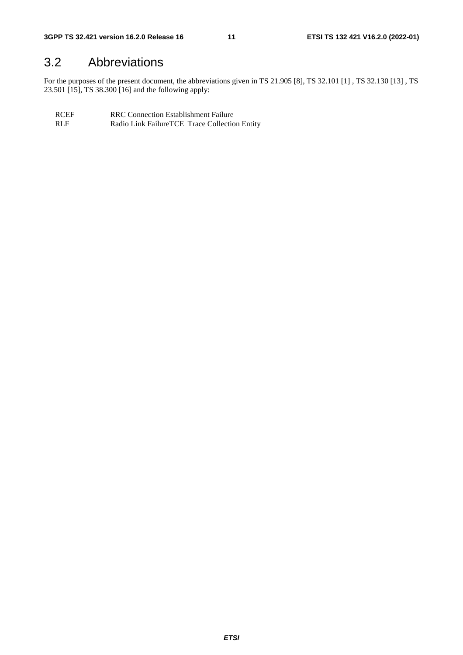### 3.2 Abbreviations

For the purposes of the present document, the abbreviations given in TS 21.905 [8], TS 32.101 [1] , TS 32.130 [13] , TS 23.501 [15], TS 38.300 [16] and the following apply:

RCEF RRC Connection Establishment Failure<br>RLF Radio Link Failure TCE Trace Collection Radio Link FailureTCE Trace Collection Entity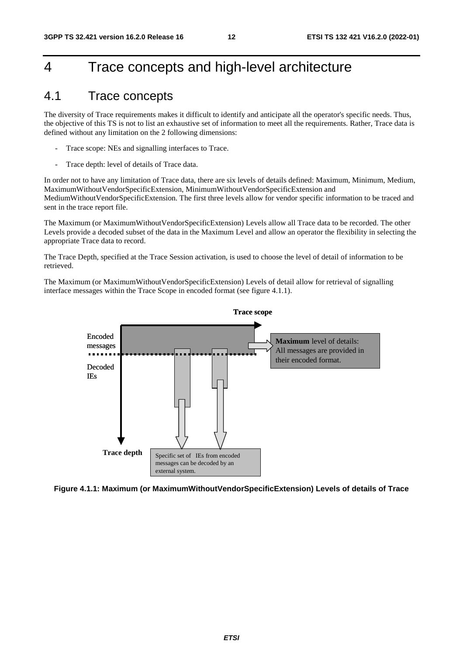### 4 Trace concepts and high-level architecture

### 4.1 Trace concepts

The diversity of Trace requirements makes it difficult to identify and anticipate all the operator's specific needs. Thus, the objective of this TS is not to list an exhaustive set of information to meet all the requirements. Rather, Trace data is defined without any limitation on the 2 following dimensions:

- Trace scope: NEs and signalling interfaces to Trace.
- Trace depth: level of details of Trace data.

In order not to have any limitation of Trace data, there are six levels of details defined: Maximum, Minimum, Medium, MaximumWithoutVendorSpecificExtension, MinimumWithoutVendorSpecificExtension and MediumWithoutVendorSpecificExtension. The first three levels allow for vendor specific information to be traced and sent in the trace report file.

The Maximum (or MaximumWithoutVendorSpecificExtension) Levels allow all Trace data to be recorded. The other Levels provide a decoded subset of the data in the Maximum Level and allow an operator the flexibility in selecting the appropriate Trace data to record.

The Trace Depth, specified at the Trace Session activation, is used to choose the level of detail of information to be retrieved.

The Maximum (or MaximumWithoutVendorSpecificExtension) Levels of detail allow for retrieval of signalling interface messages within the Trace Scope in encoded format (see figure 4.1.1).



**Figure 4.1.1: Maximum (or MaximumWithoutVendorSpecificExtension) Levels of details of Trace**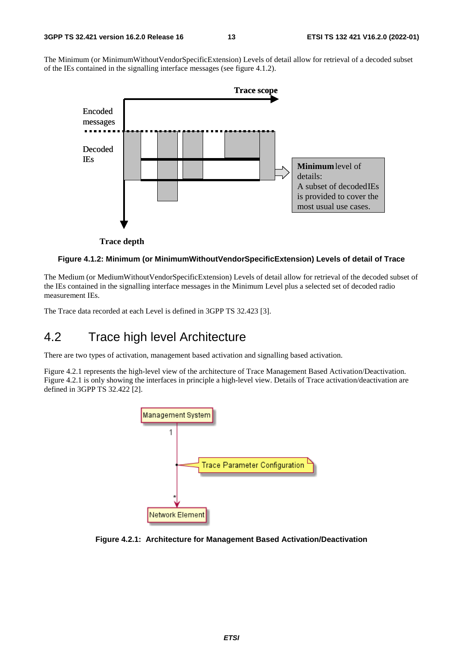The Minimum (or MinimumWithoutVendorSpecificExtension) Levels of detail allow for retrieval of a decoded subset of the IEs contained in the signalling interface messages (see figure 4.1.2).



**Trace depth**

#### **Figure 4.1.2: Minimum (or MinimumWithoutVendorSpecificExtension) Levels of detail of Trace**

The Medium (or MediumWithoutVendorSpecificExtension) Levels of detail allow for retrieval of the decoded subset of the IEs contained in the signalling interface messages in the Minimum Level plus a selected set of decoded radio measurement IEs.

The Trace data recorded at each Level is defined in 3GPP TS 32.423 [3].

### 4.2 Trace high level Architecture

There are two types of activation, management based activation and signalling based activation.

Figure 4.2.1 represents the high-level view of the architecture of Trace Management Based Activation/Deactivation. Figure 4.2.1 is only showing the interfaces in principle a high-level view. Details of Trace activation/deactivation are defined in 3GPP TS 32.422 [2].



**Figure 4.2.1: Architecture for Management Based Activation/Deactivation**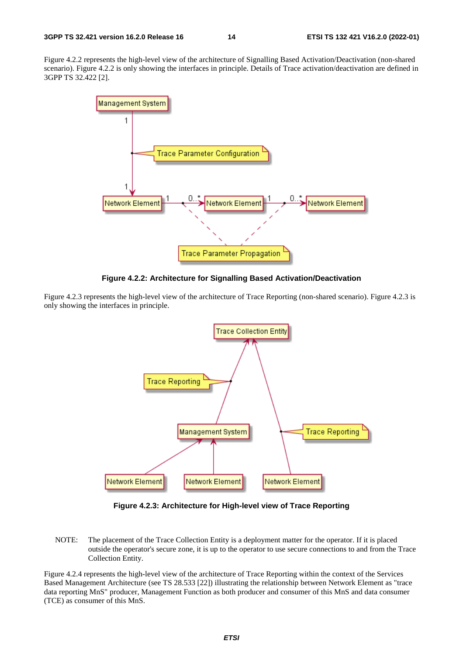Figure 4.2.2 represents the high-level view of the architecture of Signalling Based Activation/Deactivation (non-shared scenario). Figure 4.2.2 is only showing the interfaces in principle. Details of Trace activation/deactivation are defined in 3GPP TS 32.422 [2].



**Figure 4.2.2: Architecture for Signalling Based Activation/Deactivation** 

Figure 4.2.3 represents the high-level view of the architecture of Trace Reporting (non-shared scenario). Figure 4.2.3 is only showing the interfaces in principle.



**Figure 4.2.3: Architecture for High-level view of Trace Reporting** 

NOTE: The placement of the Trace Collection Entity is a deployment matter for the operator. If it is placed outside the operator's secure zone, it is up to the operator to use secure connections to and from the Trace Collection Entity.

Figure 4.2.4 represents the high-level view of the architecture of Trace Reporting within the context of the Services Based Management Architecture (see TS 28.533 [22]) illustrating the relationship between Network Element as "trace data reporting MnS" producer, Management Function as both producer and consumer of this MnS and data consumer (TCE) as consumer of this MnS.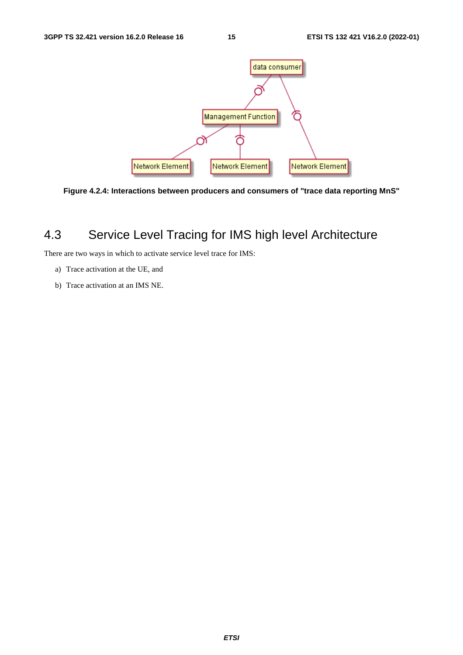



### 4.3 Service Level Tracing for IMS high level Architecture

There are two ways in which to activate service level trace for IMS:

- a) Trace activation at the UE, and
- b) Trace activation at an IMS NE.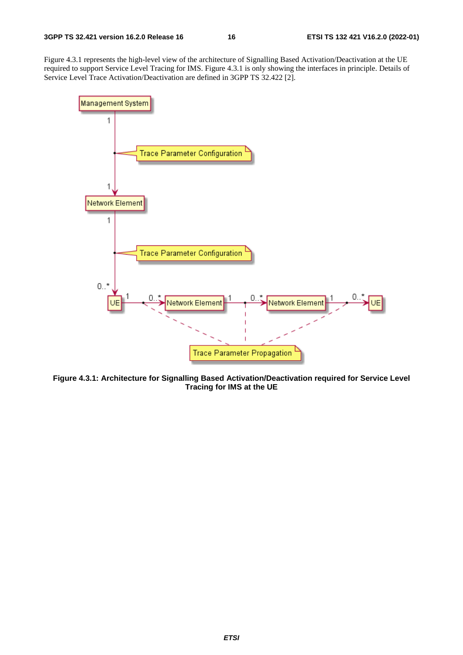Figure 4.3.1 represents the high-level view of the architecture of Signalling Based Activation/Deactivation at the UE required to support Service Level Tracing for IMS. Figure 4.3.1 is only showing the interfaces in principle. Details of Service Level Trace Activation/Deactivation are defined in 3GPP TS 32.422 [2].



**Figure 4.3.1: Architecture for Signalling Based Activation/Deactivation required for Service Level Tracing for IMS at the UE**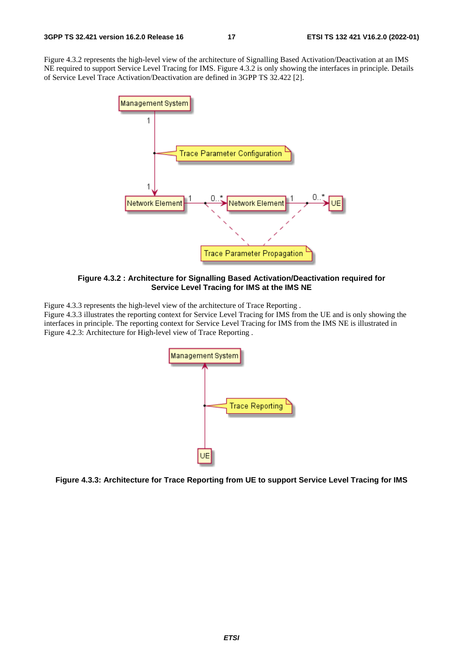Figure 4.3.2 represents the high-level view of the architecture of Signalling Based Activation/Deactivation at an IMS NE required to support Service Level Tracing for IMS. Figure 4.3.2 is only showing the interfaces in principle. Details of Service Level Trace Activation/Deactivation are defined in 3GPP TS 32.422 [2].



**Figure 4.3.2 : Architecture for Signalling Based Activation/Deactivation required for Service Level Tracing for IMS at the IMS NE** 

Figure 4.3.3 represents the high-level view of the architecture of Trace Reporting .

Figure 4.3.3 illustrates the reporting context for Service Level Tracing for IMS from the UE and is only showing the interfaces in principle. The reporting context for Service Level Tracing for IMS from the IMS NE is illustrated in Figure 4.2.3: Architecture for High-level view of Trace Reporting .



**Figure 4.3.3: Architecture for Trace Reporting from UE to support Service Level Tracing for IMS**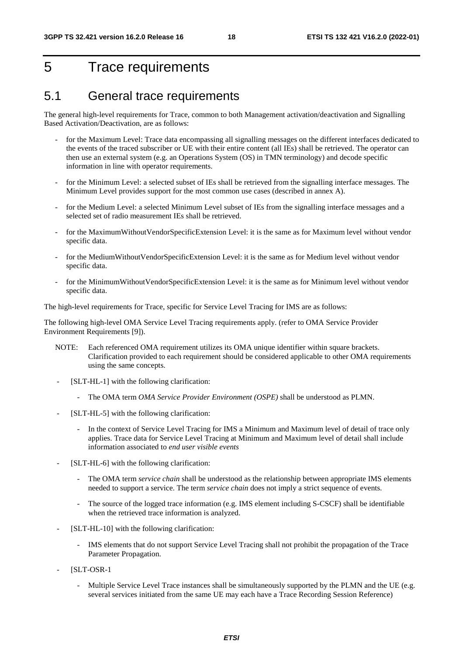### 5 Trace requirements

#### 5.1 General trace requirements

The general high-level requirements for Trace, common to both Management activation/deactivation and Signalling Based Activation/Deactivation, are as follows:

- for the Maximum Level: Trace data encompassing all signalling messages on the different interfaces dedicated to the events of the traced subscriber or UE with their entire content (all IEs) shall be retrieved. The operator can then use an external system (e.g. an Operations System (OS) in TMN terminology) and decode specific information in line with operator requirements.
- for the Minimum Level: a selected subset of IEs shall be retrieved from the signalling interface messages. The Minimum Level provides support for the most common use cases (described in annex A).
- for the Medium Level: a selected Minimum Level subset of IEs from the signalling interface messages and a selected set of radio measurement IEs shall be retrieved.
- for the MaximumWithoutVendorSpecificExtension Level: it is the same as for Maximum level without vendor specific data.
- for the MediumWithoutVendorSpecificExtension Level: it is the same as for Medium level without vendor specific data.
- for the MinimumWithoutVendorSpecificExtension Level: it is the same as for Minimum level without vendor specific data.

The high-level requirements for Trace, specific for Service Level Tracing for IMS are as follows:

The following high-level OMA Service Level Tracing requirements apply. (refer to OMA Service Provider Environment Requirements [9]).

- NOTE: Each referenced OMA requirement utilizes its OMA unique identifier within square brackets. Clarification provided to each requirement should be considered applicable to other OMA requirements using the same concepts.
- [SLT-HL-1] with the following clarification:
	- The OMA term *OMA Service Provider Environment (OSPE)* shall be understood as PLMN.
- [SLT-HL-5] with the following clarification:
	- In the context of Service Level Tracing for IMS a Minimum and Maximum level of detail of trace only applies. Trace data for Service Level Tracing at Minimum and Maximum level of detail shall include information associated to *end user visible events*
- [SLT-HL-6] with the following clarification:
	- The OMA term *service chain* shall be understood as the relationship between appropriate IMS elements needed to support a service. The term *service chain* does not imply a strict sequence of events.
	- The source of the logged trace information (e.g. IMS element including S-CSCF) shall be identifiable when the retrieved trace information is analyzed.
- [SLT-HL-10] with the following clarification:
	- IMS elements that do not support Service Level Tracing shall not prohibit the propagation of the Trace Parameter Propagation.
- [SLT-OSR-1]
	- Multiple Service Level Trace instances shall be simultaneously supported by the PLMN and the UE (e.g. several services initiated from the same UE may each have a Trace Recording Session Reference)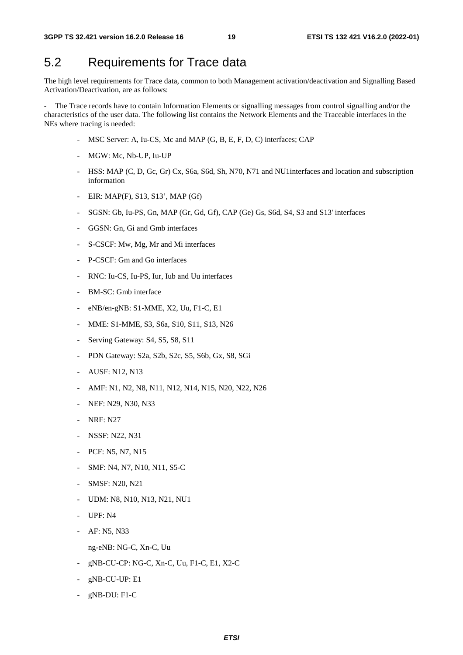### 5.2 Requirements for Trace data

The high level requirements for Trace data, common to both Management activation/deactivation and Signalling Based Activation/Deactivation, are as follows:

The Trace records have to contain Information Elements or signalling messages from control signalling and/or the characteristics of the user data. The following list contains the Network Elements and the Traceable interfaces in the NEs where tracing is needed:

- MSC Server: A, Iu-CS, Mc and MAP (G, B, E, F, D, C) interfaces; CAP
- MGW: Mc, Nb-UP, Iu-UP
- HSS: MAP (C, D, Gc, Gr) Cx, S6a, S6d, Sh, N70, N71 and NU1interfaces and location and subscription information
- EIR: MAP(F), S13, S13', MAP (Gf)
- SGSN: Gb, Iu-PS, Gn, MAP (Gr, Gd, Gf), CAP (Ge) Gs, S6d, S4, S3 and S13' interfaces
- GGSN: Gn, Gi and Gmb interfaces
- S-CSCF: Mw, Mg, Mr and Mi interfaces
- P-CSCF: Gm and Go interfaces
- RNC: Iu-CS, Iu-PS, Iur, Iub and Uu interfaces
- BM-SC: Gmb interface
- eNB/en-gNB: S1-MME, X2, Uu, F1-C, E1
- MME: S1-MME, S3, S6a, S10, S11, S13, N26
- Serving Gateway: S4, S5, S8, S11
- PDN Gateway: S2a, S2b, S2c, S5, S6b, Gx, S8, SGi
- AUSF: N12, N13
- AMF: N1, N2, N8, N11, N12, N14, N15, N20, N22, N26
- NEF: N29, N30, N33
- **NRF: N27**
- NSSF: N22, N31
- PCF: N5, N7, N15
- SMF: N4, N7, N10, N11, S5-C
- SMSF: N20, N21
- UDM: N8, N10, N13, N21, NU1
- UPF: N4
- AF: N5, N33
	- ng-eNB: NG-C, Xn-C, Uu
- gNB-CU-CP: NG-C, Xn-C, Uu, F1-C, E1, X2-C
- gNB-CU-UP: E1
- gNB-DU: F1-C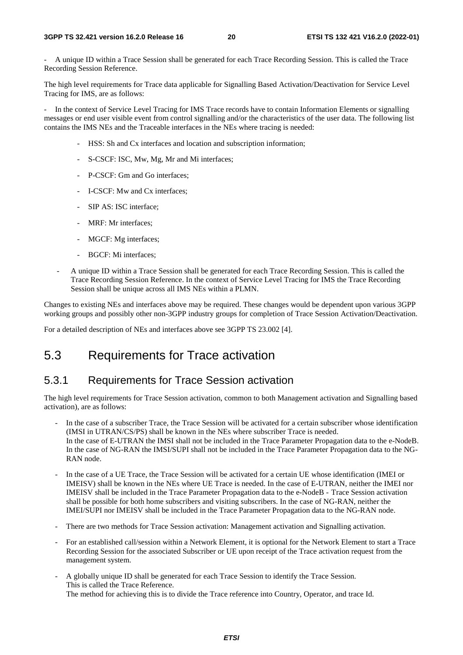- A unique ID within a Trace Session shall be generated for each Trace Recording Session. This is called the Trace Recording Session Reference.

The high level requirements for Trace data applicable for Signalling Based Activation/Deactivation for Service Level Tracing for IMS, are as follows:

In the context of Service Level Tracing for IMS Trace records have to contain Information Elements or signalling messages or end user visible event from control signalling and/or the characteristics of the user data. The following list contains the IMS NEs and the Traceable interfaces in the NEs where tracing is needed:

- HSS: Sh and Cx interfaces and location and subscription information;
- S-CSCF: ISC, Mw, Mg, Mr and Mi interfaces;
- P-CSCF: Gm and Go interfaces;
- I-CSCF: Mw and Cx interfaces;
- SIP AS: ISC interface:
- MRF: Mr interfaces;
- MGCF: Mg interfaces;
- BGCF: Mi interfaces;
- A unique ID within a Trace Session shall be generated for each Trace Recording Session. This is called the Trace Recording Session Reference. In the context of Service Level Tracing for IMS the Trace Recording Session shall be unique across all IMS NEs within a PLMN.

Changes to existing NEs and interfaces above may be required. These changes would be dependent upon various 3GPP working groups and possibly other non-3GPP industry groups for completion of Trace Session Activation/Deactivation.

For a detailed description of NEs and interfaces above see 3GPP TS 23.002 [4].

### 5.3 Requirements for Trace activation

#### 5.3.1 Requirements for Trace Session activation

The high level requirements for Trace Session activation, common to both Management activation and Signalling based activation), are as follows:

- In the case of a subscriber Trace, the Trace Session will be activated for a certain subscriber whose identification (IMSI in UTRAN/CS/PS) shall be known in the NEs where subscriber Trace is needed. In the case of E-UTRAN the IMSI shall not be included in the Trace Parameter Propagation data to the e-NodeB. In the case of NG-RAN the IMSI/SUPI shall not be included in the Trace Parameter Propagation data to the NG-RAN node.
- In the case of a UE Trace, the Trace Session will be activated for a certain UE whose identification (IMEI or IMEISV) shall be known in the NEs where UE Trace is needed. In the case of E-UTRAN, neither the IMEI nor IMEISV shall be included in the Trace Parameter Propagation data to the e-NodeB - Trace Session activation shall be possible for both home subscribers and visiting subscribers. In the case of NG-RAN, neither the IMEI/SUPI nor IMEISV shall be included in the Trace Parameter Propagation data to the NG-RAN node.
- There are two methods for Trace Session activation: Management activation and Signalling activation.
- For an established call/session within a Network Element, it is optional for the Network Element to start a Trace Recording Session for the associated Subscriber or UE upon receipt of the Trace activation request from the management system.
- A globally unique ID shall be generated for each Trace Session to identify the Trace Session. This is called the Trace Reference. The method for achieving this is to divide the Trace reference into Country, Operator, and trace Id.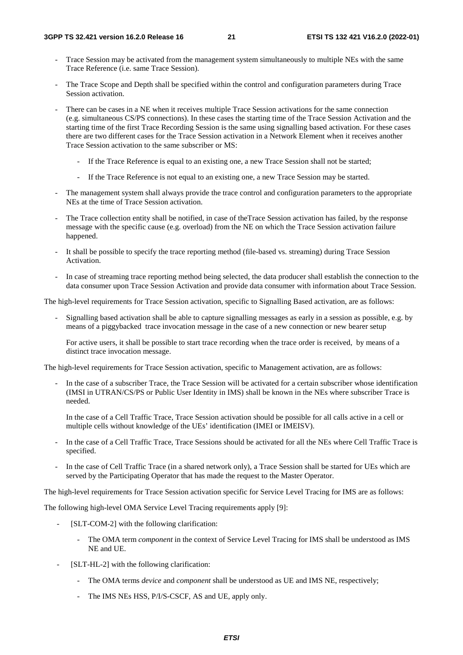- Trace Session may be activated from the management system simultaneously to multiple NEs with the same Trace Reference (i.e. same Trace Session).
- The Trace Scope and Depth shall be specified within the control and configuration parameters during Trace Session activation.
- There can be cases in a NE when it receives multiple Trace Session activations for the same connection (e.g. simultaneous CS/PS connections). In these cases the starting time of the Trace Session Activation and the starting time of the first Trace Recording Session is the same using signalling based activation. For these cases there are two different cases for the Trace Session activation in a Network Element when it receives another Trace Session activation to the same subscriber or MS:
	- If the Trace Reference is equal to an existing one, a new Trace Session shall not be started;
	- If the Trace Reference is not equal to an existing one, a new Trace Session may be started.
- The management system shall always provide the trace control and configuration parameters to the appropriate NEs at the time of Trace Session activation.
- The Trace collection entity shall be notified, in case of theTrace Session activation has failed, by the response message with the specific cause (e.g. overload) from the NE on which the Trace Session activation failure happened.
- It shall be possible to specify the trace reporting method (file-based vs. streaming) during Trace Session Activation.
- In case of streaming trace reporting method being selected, the data producer shall establish the connection to the data consumer upon Trace Session Activation and provide data consumer with information about Trace Session.

The high-level requirements for Trace Session activation, specific to Signalling Based activation, are as follows:

- Signalling based activation shall be able to capture signalling messages as early in a session as possible, e.g. by means of a piggybacked trace invocation message in the case of a new connection or new bearer setup

 For active users, it shall be possible to start trace recording when the trace order is received, by means of a distinct trace invocation message.

The high-level requirements for Trace Session activation, specific to Management activation, are as follows:

- In the case of a subscriber Trace, the Trace Session will be activated for a certain subscriber whose identification (IMSI in UTRAN/CS/PS or Public User Identity in IMS) shall be known in the NEs where subscriber Trace is needed.

 In the case of a Cell Traffic Trace, Trace Session activation should be possible for all calls active in a cell or multiple cells without knowledge of the UEs' identification (IMEI or IMEISV).

- In the case of a Cell Traffic Trace, Trace Sessions should be activated for all the NEs where Cell Traffic Trace is specified.
- In the case of Cell Traffic Trace (in a shared network only), a Trace Session shall be started for UEs which are served by the Participating Operator that has made the request to the Master Operator.

The high-level requirements for Trace Session activation specific for Service Level Tracing for IMS are as follows:

The following high-level OMA Service Level Tracing requirements apply [9]:

- [SLT-COM-2] with the following clarification:
	- The OMA term *component* in the context of Service Level Tracing for IMS shall be understood as IMS NE and UE.
- [SLT-HL-2] with the following clarification:
	- The OMA terms *device* and *component* shall be understood as UE and IMS NE, respectively;
	- The IMS NEs HSS, P/I/S-CSCF, AS and UE, apply only.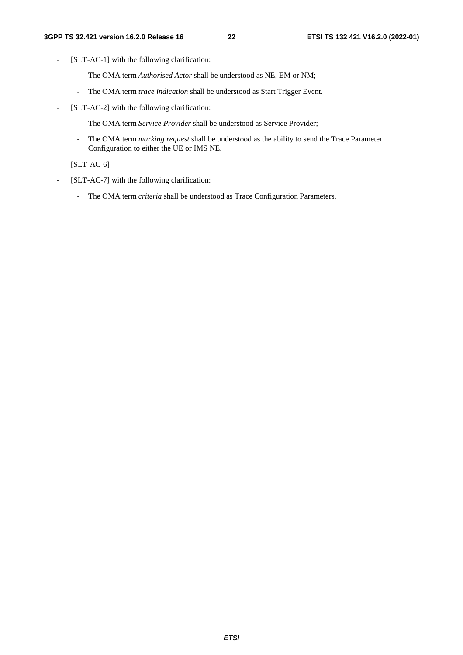- [SLT-AC-1] with the following clarification:
	- The OMA term *Authorised Actor* shall be understood as NE, EM or NM;
	- The OMA term *trace indication* shall be understood as Start Trigger Event.
- [SLT-AC-2] with the following clarification:
	- The OMA term *Service Provider* shall be understood as Service Provider;
	- The OMA term *marking request* shall be understood as the ability to send the Trace Parameter Configuration to either the UE or IMS NE.
- [SLT-AC-6]
- [SLT-AC-7] with the following clarification:
	- The OMA term *criteria* shall be understood as Trace Configuration Parameters.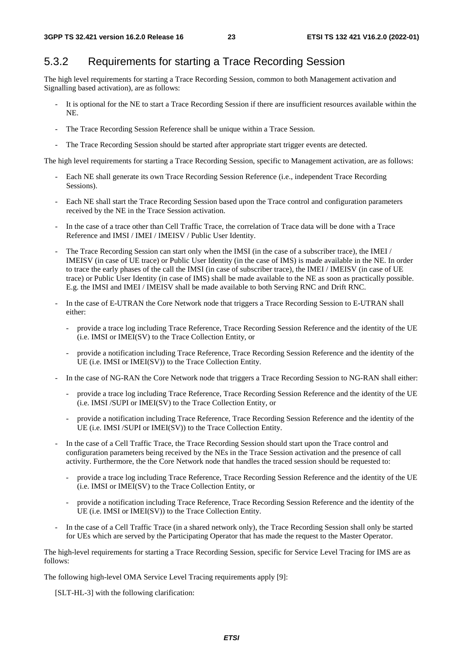#### 5.3.2 Requirements for starting a Trace Recording Session

The high level requirements for starting a Trace Recording Session, common to both Management activation and Signalling based activation), are as follows:

- It is optional for the NE to start a Trace Recording Session if there are insufficient resources available within the NE.
- The Trace Recording Session Reference shall be unique within a Trace Session.
- The Trace Recording Session should be started after appropriate start trigger events are detected.

The high level requirements for starting a Trace Recording Session, specific to Management activation, are as follows:

- Each NE shall generate its own Trace Recording Session Reference (i.e., independent Trace Recording Sessions).
- Each NE shall start the Trace Recording Session based upon the Trace control and configuration parameters received by the NE in the Trace Session activation.
- In the case of a trace other than Cell Traffic Trace, the correlation of Trace data will be done with a Trace Reference and IMSI / IMEI / IMEISV / Public User Identity.
- The Trace Recording Session can start only when the IMSI (in the case of a subscriber trace), the IMEI / IMEISV (in case of UE trace) or Public User Identity (in the case of IMS) is made available in the NE. In order to trace the early phases of the call the IMSI (in case of subscriber trace), the IMEI / IMEISV (in case of UE trace) or Public User Identity (in case of IMS) shall be made available to the NE as soon as practically possible. E.g. the IMSI and IMEI / IMEISV shall be made available to both Serving RNC and Drift RNC.
- In the case of E-UTRAN the Core Network node that triggers a Trace Recording Session to E-UTRAN shall either:
	- provide a trace log including Trace Reference, Trace Recording Session Reference and the identity of the UE (i.e. IMSI or IMEI(SV) to the Trace Collection Entity, or
	- provide a notification including Trace Reference, Trace Recording Session Reference and the identity of the UE (i.e. IMSI or IMEI(SV)) to the Trace Collection Entity.
- In the case of NG-RAN the Core Network node that triggers a Trace Recording Session to NG-RAN shall either:
	- provide a trace log including Trace Reference, Trace Recording Session Reference and the identity of the UE (i.e. IMSI /SUPI or IMEI(SV) to the Trace Collection Entity, or
	- provide a notification including Trace Reference, Trace Recording Session Reference and the identity of the UE (i.e. IMSI /SUPI or IMEI(SV)) to the Trace Collection Entity.
- In the case of a Cell Traffic Trace, the Trace Recording Session should start upon the Trace control and configuration parameters being received by the NEs in the Trace Session activation and the presence of call activity. Furthermore, the the Core Network node that handles the traced session should be requested to:
	- provide a trace log including Trace Reference, Trace Recording Session Reference and the identity of the UE (i.e. IMSI or IMEI(SV) to the Trace Collection Entity, or
	- provide a notification including Trace Reference, Trace Recording Session Reference and the identity of the UE (i.e. IMSI or IMEI(SV)) to the Trace Collection Entity.
- In the case of a Cell Traffic Trace (in a shared network only), the Trace Recording Session shall only be started for UEs which are served by the Participating Operator that has made the request to the Master Operator.

The high-level requirements for starting a Trace Recording Session, specific for Service Level Tracing for IMS are as follows:

The following high-level OMA Service Level Tracing requirements apply [9]:

[SLT-HL-3] with the following clarification: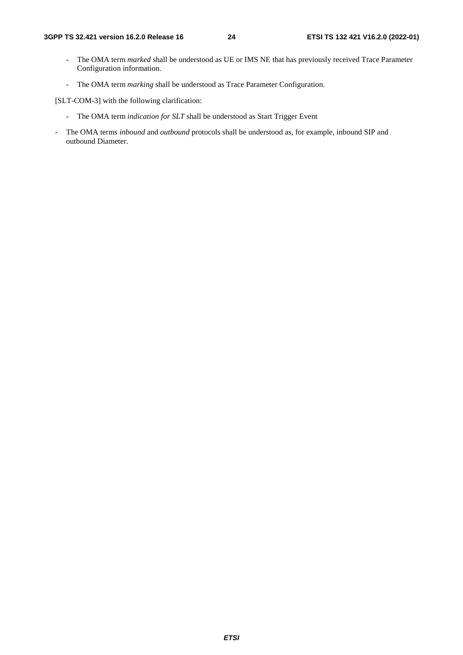- The OMA term *marked* shall be understood as UE or IMS NE that has previously received Trace Parameter Configuration information.
- The OMA term *marking* shall be understood as Trace Parameter Configuration.

[SLT-COM-3] with the following clarification:

- The OMA term *indication for SLT* shall be understood as Start Trigger Event
- The OMA terms *inbound* and *outbound* protocols shall be understood as, for example, inbound SIP and outbound Diameter.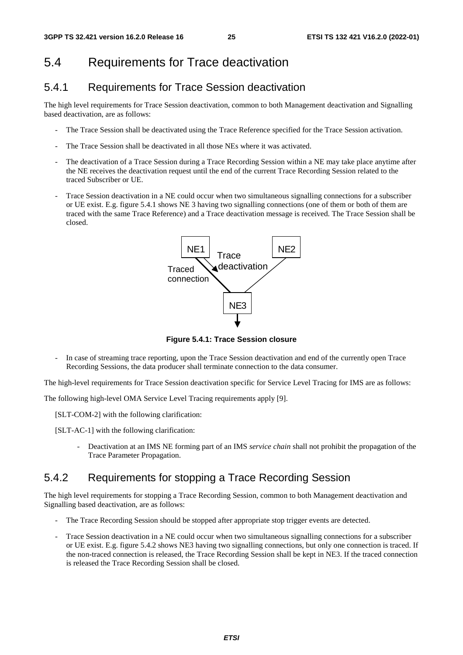### 5.4 Requirements for Trace deactivation

#### 5.4.1 Requirements for Trace Session deactivation

The high level requirements for Trace Session deactivation, common to both Management deactivation and Signalling based deactivation, are as follows:

- The Trace Session shall be deactivated using the Trace Reference specified for the Trace Session activation.
- The Trace Session shall be deactivated in all those NEs where it was activated.
- The deactivation of a Trace Session during a Trace Recording Session within a NE may take place anytime after the NE receives the deactivation request until the end of the current Trace Recording Session related to the traced Subscriber or UE.
- Trace Session deactivation in a NE could occur when two simultaneous signalling connections for a subscriber or UE exist. E.g. figure 5.4.1 shows NE 3 having two signalling connections (one of them or both of them are traced with the same Trace Reference) and a Trace deactivation message is received. The Trace Session shall be closed.



**Figure 5.4.1: Trace Session closure** 

- In case of streaming trace reporting, upon the Trace Session deactivation and end of the currently open Trace Recording Sessions, the data producer shall terminate connection to the data consumer.

The high-level requirements for Trace Session deactivation specific for Service Level Tracing for IMS are as follows:

The following high-level OMA Service Level Tracing requirements apply [9].

[SLT-COM-2] with the following clarification:

[SLT-AC-1] with the following clarification:

- Deactivation at an IMS NE forming part of an IMS *service chain* shall not prohibit the propagation of the Trace Parameter Propagation.

#### 5.4.2 Requirements for stopping a Trace Recording Session

The high level requirements for stopping a Trace Recording Session, common to both Management deactivation and Signalling based deactivation, are as follows:

- The Trace Recording Session should be stopped after appropriate stop trigger events are detected.
- Trace Session deactivation in a NE could occur when two simultaneous signalling connections for a subscriber or UE exist. E.g. figure 5.4.2 shows NE3 having two signalling connections, but only one connection is traced. If the non-traced connection is released, the Trace Recording Session shall be kept in NE3. If the traced connection is released the Trace Recording Session shall be closed.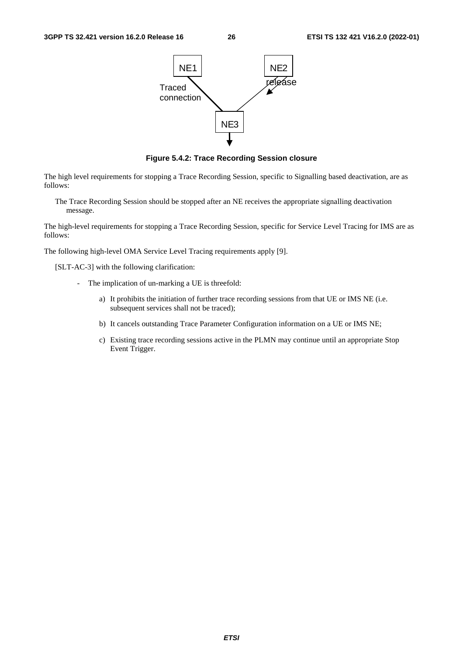

**Figure 5.4.2: Trace Recording Session closure** 

The high level requirements for stopping a Trace Recording Session, specific to Signalling based deactivation, are as follows:

The Trace Recording Session should be stopped after an NE receives the appropriate signalling deactivation message.

The high-level requirements for stopping a Trace Recording Session, specific for Service Level Tracing for IMS are as follows:

The following high-level OMA Service Level Tracing requirements apply [9].

[SLT-AC-3] with the following clarification:

- The implication of un-marking a UE is threefold:
	- a) It prohibits the initiation of further trace recording sessions from that UE or IMS NE (i.e. subsequent services shall not be traced);
	- b) It cancels outstanding Trace Parameter Configuration information on a UE or IMS NE;
	- c) Existing trace recording sessions active in the PLMN may continue until an appropriate Stop Event Trigger.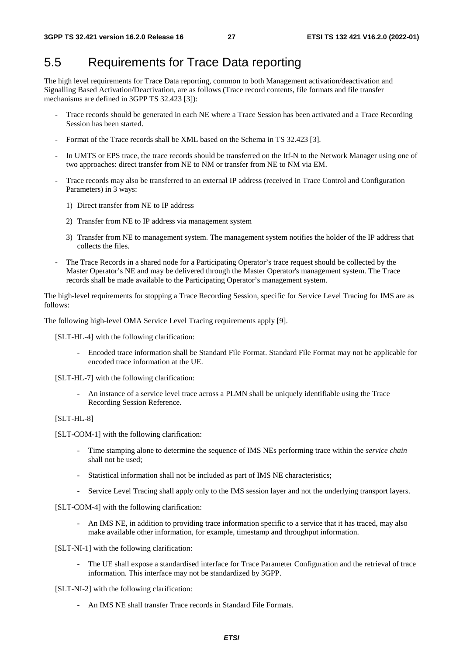### 5.5 Requirements for Trace Data reporting

The high level requirements for Trace Data reporting, common to both Management activation/deactivation and Signalling Based Activation/Deactivation, are as follows (Trace record contents, file formats and file transfer mechanisms are defined in 3GPP TS 32.423 [3]):

- Trace records should be generated in each NE where a Trace Session has been activated and a Trace Recording Session has been started.
- Format of the Trace records shall be XML based on the Schema in TS 32.423 [3].
- In UMTS or EPS trace, the trace records should be transferred on the Itf-N to the Network Manager using one of two approaches: direct transfer from NE to NM or transfer from NE to NM via EM.
- Trace records may also be transferred to an external IP address (received in Trace Control and Configuration Parameters) in 3 ways:
	- 1) Direct transfer from NE to IP address
	- 2) Transfer from NE to IP address via management system
	- 3) Transfer from NE to management system. The management system notifies the holder of the IP address that collects the files.
- The Trace Records in a shared node for a Participating Operator's trace request should be collected by the Master Operator's NE and may be delivered through the Master Operator's management system. The Trace records shall be made available to the Participating Operator's management system.

The high-level requirements for stopping a Trace Recording Session, specific for Service Level Tracing for IMS are as follows:

The following high-level OMA Service Level Tracing requirements apply [9].

[SLT-HL-4] with the following clarification:

- Encoded trace information shall be Standard File Format. Standard File Format may not be applicable for encoded trace information at the UE.

[SLT-HL-7] with the following clarification:

- An instance of a service level trace across a PLMN shall be uniquely identifiable using the Trace Recording Session Reference.

#### [SLT-HL-8]

[SLT-COM-1] with the following clarification:

- Time stamping alone to determine the sequence of IMS NEs performing trace within the *service chain* shall not be used;
- Statistical information shall not be included as part of IMS NE characteristics;
- Service Level Tracing shall apply only to the IMS session layer and not the underlying transport layers.

[SLT-COM-4] with the following clarification:

- An IMS NE, in addition to providing trace information specific to a service that it has traced, may also make available other information, for example, timestamp and throughput information.

#### [SLT-NI-1] with the following clarification:

- The UE shall expose a standardised interface for Trace Parameter Configuration and the retrieval of trace information. This interface may not be standardized by 3GPP.

[SLT-NI-2] with the following clarification:

- An IMS NE shall transfer Trace records in Standard File Formats.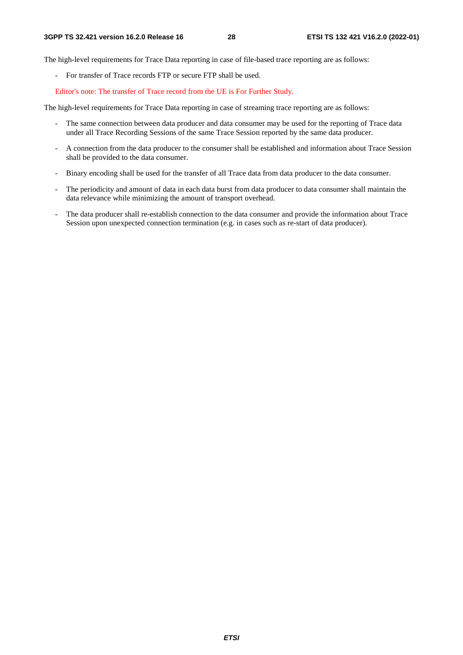The high-level requirements for Trace Data reporting in case of file-based trace reporting are as follows:

- For transfer of Trace records FTP or secure FTP shall be used.

Editor's note: The transfer of Trace record from the UE is For Further Study.

The high-level requirements for Trace Data reporting in case of streaming trace reporting are as follows:

- The same connection between data producer and data consumer may be used for the reporting of Trace data under all Trace Recording Sessions of the same Trace Session reported by the same data producer.
- A connection from the data producer to the consumer shall be established and information about Trace Session shall be provided to the data consumer.
- Binary encoding shall be used for the transfer of all Trace data from data producer to the data consumer.
- The periodicity and amount of data in each data burst from data producer to data consumer shall maintain the data relevance while minimizing the amount of transport overhead.
- The data producer shall re-establish connection to the data consumer and provide the information about Trace Session upon unexpected connection termination (e.g. in cases such as re-start of data producer).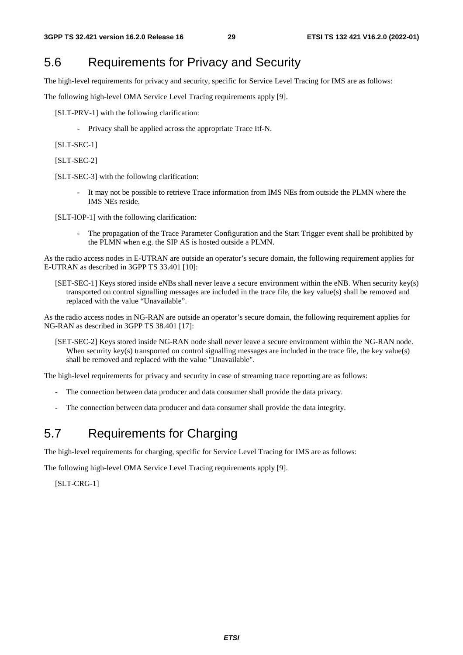### 5.6 Requirements for Privacy and Security

The high-level requirements for privacy and security, specific for Service Level Tracing for IMS are as follows:

The following high-level OMA Service Level Tracing requirements apply [9].

[SLT-PRV-1] with the following clarification:

- Privacy shall be applied across the appropriate Trace Itf-N.

[SLT-SEC-1]

[SLT-SEC-2]

[SLT-SEC-3] with the following clarification:

- It may not be possible to retrieve Trace information from IMS NEs from outside the PLMN where the IMS NEs reside.

[SLT-IOP-1] with the following clarification:

The propagation of the Trace Parameter Configuration and the Start Trigger event shall be prohibited by the PLMN when e.g. the SIP AS is hosted outside a PLMN.

As the radio access nodes in E-UTRAN are outside an operator's secure domain, the following requirement applies for E-UTRAN as described in 3GPP TS 33.401 [10]:

[SET-SEC-1] Keys stored inside eNBs shall never leave a secure environment within the eNB. When security key(s) transported on control signalling messages are included in the trace file, the key value(s) shall be removed and replaced with the value "Unavailable".

As the radio access nodes in NG-RAN are outside an operator's secure domain, the following requirement applies for NG-RAN as described in 3GPP TS 38.401 [17]:

[SET-SEC-2] Keys stored inside NG-RAN node shall never leave a secure environment within the NG-RAN node. When security key(s) transported on control signalling messages are included in the trace file, the key value(s) shall be removed and replaced with the value "Unavailable".

The high-level requirements for privacy and security in case of streaming trace reporting are as follows:

- The connection between data producer and data consumer shall provide the data privacy.
- The connection between data producer and data consumer shall provide the data integrity.

### 5.7 Requirements for Charging

The high-level requirements for charging, specific for Service Level Tracing for IMS are as follows:

The following high-level OMA Service Level Tracing requirements apply [9].

[SLT-CRG-1]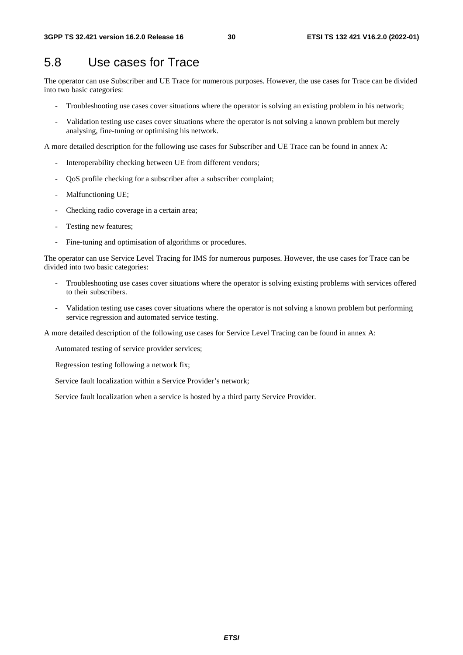### 5.8 Use cases for Trace

The operator can use Subscriber and UE Trace for numerous purposes. However, the use cases for Trace can be divided into two basic categories:

- Troubleshooting use cases cover situations where the operator is solving an existing problem in his network;
- Validation testing use cases cover situations where the operator is not solving a known problem but merely analysing, fine-tuning or optimising his network.

A more detailed description for the following use cases for Subscriber and UE Trace can be found in annex A:

- Interoperability checking between UE from different vendors;
- QoS profile checking for a subscriber after a subscriber complaint;
- Malfunctioning UE;
- Checking radio coverage in a certain area;
- Testing new features;
- Fine-tuning and optimisation of algorithms or procedures.

The operator can use Service Level Tracing for IMS for numerous purposes. However, the use cases for Trace can be divided into two basic categories:

- Troubleshooting use cases cover situations where the operator is solving existing problems with services offered to their subscribers.
- Validation testing use cases cover situations where the operator is not solving a known problem but performing service regression and automated service testing.

A more detailed description of the following use cases for Service Level Tracing can be found in annex A:

Automated testing of service provider services;

Regression testing following a network fix;

Service fault localization within a Service Provider's network;

Service fault localization when a service is hosted by a third party Service Provider.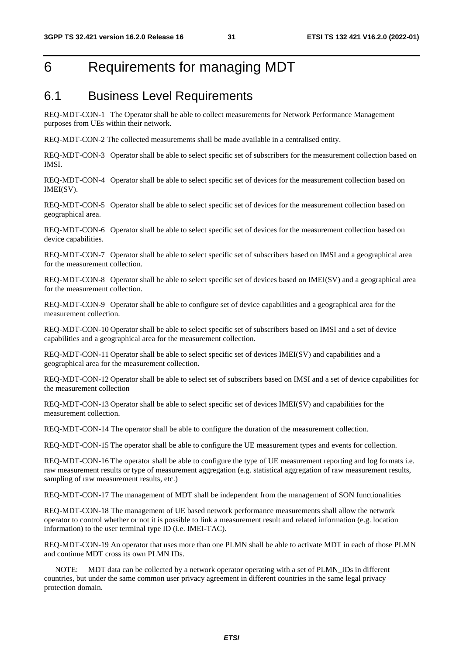### 6 Requirements for managing MDT

#### 6.1 Business Level Requirements

REQ-MDT-CON-1 The Operator shall be able to collect measurements for Network Performance Management purposes from UEs within their network.

REQ-MDT-CON-2 The collected measurements shall be made available in a centralised entity.

REQ-MDT-CON-3 Operator shall be able to select specific set of subscribers for the measurement collection based on IMSI.

REQ-MDT-CON-4 Operator shall be able to select specific set of devices for the measurement collection based on IMEI(SV).

REQ-MDT-CON-5 Operator shall be able to select specific set of devices for the measurement collection based on geographical area.

REQ-MDT-CON-6 Operator shall be able to select specific set of devices for the measurement collection based on device capabilities.

REQ-MDT-CON-7 Operator shall be able to select specific set of subscribers based on IMSI and a geographical area for the measurement collection.

REQ-MDT-CON-8 Operator shall be able to select specific set of devices based on IMEI(SV) and a geographical area for the measurement collection.

REQ-MDT-CON-9 Operator shall be able to configure set of device capabilities and a geographical area for the measurement collection.

REQ-MDT-CON-10 Operator shall be able to select specific set of subscribers based on IMSI and a set of device capabilities and a geographical area for the measurement collection.

REQ-MDT-CON-11 Operator shall be able to select specific set of devices IMEI(SV) and capabilities and a geographical area for the measurement collection.

REQ-MDT-CON-12 Operator shall be able to select set of subscribers based on IMSI and a set of device capabilities for the measurement collection

REQ-MDT-CON-13 Operator shall be able to select specific set of devices IMEI(SV) and capabilities for the measurement collection.

REQ-MDT-CON-14 The operator shall be able to configure the duration of the measurement collection.

REQ-MDT-CON-15 The operator shall be able to configure the UE measurement types and events for collection.

REQ-MDT-CON-16 The operator shall be able to configure the type of UE measurement reporting and log formats i.e. raw measurement results or type of measurement aggregation (e.g. statistical aggregation of raw measurement results, sampling of raw measurement results, etc.)

REQ-MDT-CON-17 The management of MDT shall be independent from the management of SON functionalities

REQ-MDT-CON-18 The management of UE based network performance measurements shall allow the network operator to control whether or not it is possible to link a measurement result and related information (e.g. location information) to the user terminal type ID (i.e. IMEI-TAC).

REQ-MDT-CON-19 An operator that uses more than one PLMN shall be able to activate MDT in each of those PLMN and continue MDT cross its own PLMN IDs.

 NOTE: MDT data can be collected by a network operator operating with a set of PLMN\_IDs in different countries, but under the same common user privacy agreement in different countries in the same legal privacy protection domain.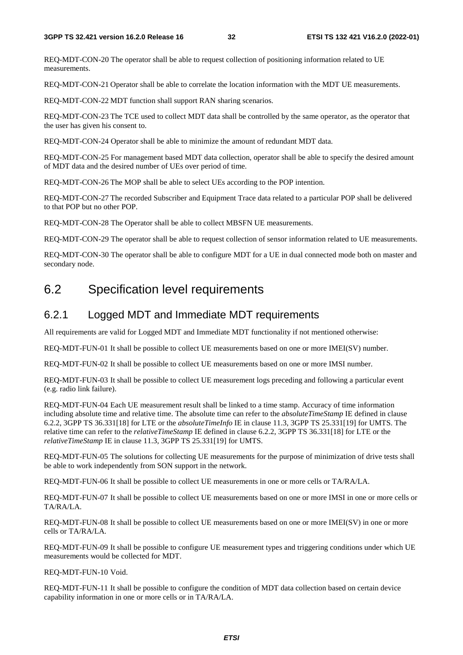REQ-MDT-CON-20 The operator shall be able to request collection of positioning information related to UE measurements.

REQ-MDT-CON-21 Operator shall be able to correlate the location information with the MDT UE measurements.

REQ-MDT-CON-22 MDT function shall support RAN sharing scenarios.

REQ-MDT-CON-23 The TCE used to collect MDT data shall be controlled by the same operator, as the operator that the user has given his consent to.

REQ-MDT-CON-24 Operator shall be able to minimize the amount of redundant MDT data.

REQ-MDT-CON-25 For management based MDT data collection, operator shall be able to specify the desired amount of MDT data and the desired number of UEs over period of time.

REQ-MDT-CON-26 The MOP shall be able to select UEs according to the POP intention.

REQ-MDT-CON-27 The recorded Subscriber and Equipment Trace data related to a particular POP shall be delivered to that POP but no other POP.

REQ-MDT-CON-28 The Operator shall be able to collect MBSFN UE measurements.

REQ-MDT-CON-29 The operator shall be able to request collection of sensor information related to UE measurements.

REQ-MDT-CON-30 The operator shall be able to configure MDT for a UE in dual connected mode both on master and secondary node.

#### 6.2 Specification level requirements

#### 6.2.1 Logged MDT and Immediate MDT requirements

All requirements are valid for Logged MDT and Immediate MDT functionality if not mentioned otherwise:

REQ-MDT-FUN-01 It shall be possible to collect UE measurements based on one or more IMEI(SV) number.

REQ-MDT-FUN-02 It shall be possible to collect UE measurements based on one or more IMSI number.

REQ-MDT-FUN-03 It shall be possible to collect UE measurement logs preceding and following a particular event (e.g. radio link failure).

REQ-MDT-FUN-04 Each UE measurement result shall be linked to a time stamp. Accuracy of time information including absolute time and relative time. The absolute time can refer to the *absoluteTimeStamp* IE defined in clause 6.2.2, 3GPP TS 36.331[18] for LTE or the *absoluteTimeInfo* IE in clause 11.3, 3GPP TS 25.331[19] for UMTS. The relative time can refer to the *relativeTimeStamp* IE defined in clause 6.2.2, 3GPP TS 36.331[18] for LTE or the *relativeTimeStamp* IE in clause 11.3, 3GPP TS 25.331[19] for UMTS.

REQ-MDT-FUN-05 The solutions for collecting UE measurements for the purpose of minimization of drive tests shall be able to work independently from SON support in the network.

REQ-MDT-FUN-06 It shall be possible to collect UE measurements in one or more cells or TA/RA/LA.

REQ-MDT-FUN-07 It shall be possible to collect UE measurements based on one or more IMSI in one or more cells or TA/RA/LA.

REQ-MDT-FUN-08 It shall be possible to collect UE measurements based on one or more IMEI(SV) in one or more cells or TA/RA/LA.

REQ-MDT-FUN-09 It shall be possible to configure UE measurement types and triggering conditions under which UE measurements would be collected for MDT.

REQ-MDT-FUN-10 Void.

REQ-MDT-FUN-11 It shall be possible to configure the condition of MDT data collection based on certain device capability information in one or more cells or in TA/RA/LA.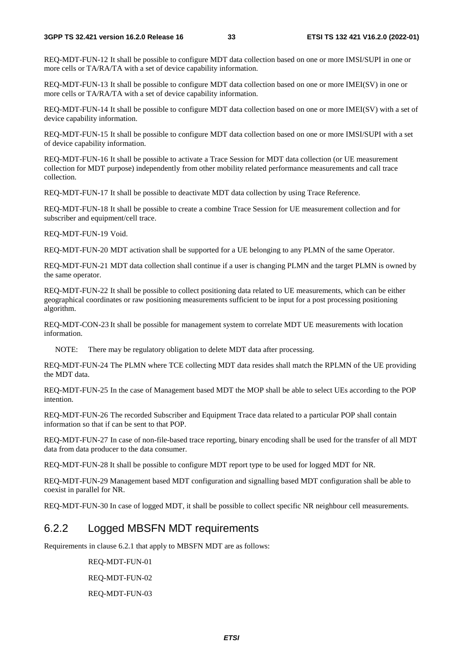REQ-MDT-FUN-12 It shall be possible to configure MDT data collection based on one or more IMSI/SUPI in one or more cells or TA/RA/TA with a set of device capability information.

REQ-MDT-FUN-13 It shall be possible to configure MDT data collection based on one or more IMEI(SV) in one or more cells or TA/RA/TA with a set of device capability information.

REQ-MDT-FUN-14 It shall be possible to configure MDT data collection based on one or more IMEI(SV) with a set of device capability information.

REQ-MDT-FUN-15 It shall be possible to configure MDT data collection based on one or more IMSI/SUPI with a set of device capability information.

REQ-MDT-FUN-16 It shall be possible to activate a Trace Session for MDT data collection (or UE measurement collection for MDT purpose) independently from other mobility related performance measurements and call trace collection.

REQ-MDT-FUN-17 It shall be possible to deactivate MDT data collection by using Trace Reference.

REQ-MDT-FUN-18 It shall be possible to create a combine Trace Session for UE measurement collection and for subscriber and equipment/cell trace.

REQ-MDT-FUN-19 Void.

REQ-MDT-FUN-20 MDT activation shall be supported for a UE belonging to any PLMN of the same Operator.

REQ-MDT-FUN-21 MDT data collection shall continue if a user is changing PLMN and the target PLMN is owned by the same operator.

REQ-MDT-FUN-22 It shall be possible to collect positioning data related to UE measurements, which can be either geographical coordinates or raw positioning measurements sufficient to be input for a post processing positioning algorithm.

REQ-MDT-CON-23 It shall be possible for management system to correlate MDT UE measurements with location information.

NOTE: There may be regulatory obligation to delete MDT data after processing.

REQ-MDT-FUN-24 The PLMN where TCE collecting MDT data resides shall match the RPLMN of the UE providing the MDT data.

REQ-MDT-FUN-25 In the case of Management based MDT the MOP shall be able to select UEs according to the POP intention.

REQ-MDT-FUN-26 The recorded Subscriber and Equipment Trace data related to a particular POP shall contain information so that if can be sent to that POP.

REQ-MDT-FUN-27 In case of non-file-based trace reporting, binary encoding shall be used for the transfer of all MDT data from data producer to the data consumer.

REQ-MDT-FUN-28 It shall be possible to configure MDT report type to be used for logged MDT for NR.

REQ-MDT-FUN-29 Management based MDT configuration and signalling based MDT configuration shall be able to coexist in parallel for NR.

REQ-MDT-FUN-30 In case of logged MDT, it shall be possible to collect specific NR neighbour cell measurements.

#### 6.2.2 Logged MBSFN MDT requirements

Requirements in clause 6.2.1 that apply to MBSFN MDT are as follows:

REQ-MDT-FUN-01 REQ-MDT-FUN-02

REQ-MDT-FUN-03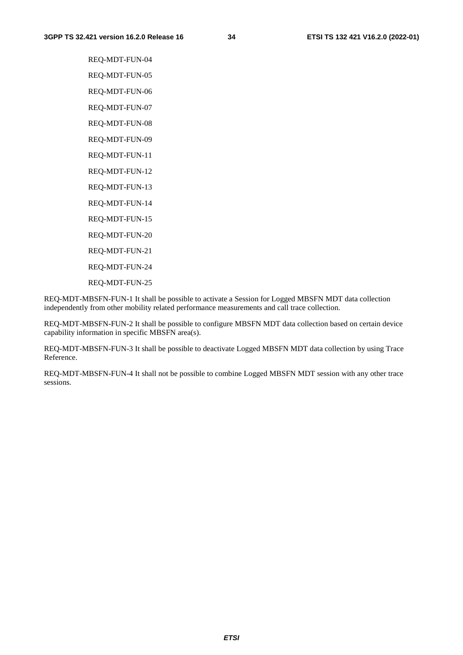REQ-MDT-FUN-04 REQ-MDT-FUN-05 REQ-MDT-FUN-06 REQ-MDT-FUN-07 REQ-MDT-FUN-08 REQ-MDT-FUN-09 REQ-MDT-FUN-11 REQ-MDT-FUN-12 REQ-MDT-FUN-13 REQ-MDT-FUN-14 REQ-MDT-FUN-15 REQ-MDT-FUN-20 REQ-MDT-FUN-21 REQ-MDT-FUN-24 REQ-MDT-FUN-25

REQ-MDT-MBSFN-FUN-1 It shall be possible to activate a Session for Logged MBSFN MDT data collection independently from other mobility related performance measurements and call trace collection.

REQ-MDT-MBSFN-FUN-2 It shall be possible to configure MBSFN MDT data collection based on certain device capability information in specific MBSFN area(s).

REQ-MDT-MBSFN-FUN-3 It shall be possible to deactivate Logged MBSFN MDT data collection by using Trace Reference.

REQ-MDT-MBSFN-FUN-4 It shall not be possible to combine Logged MBSFN MDT session with any other trace sessions.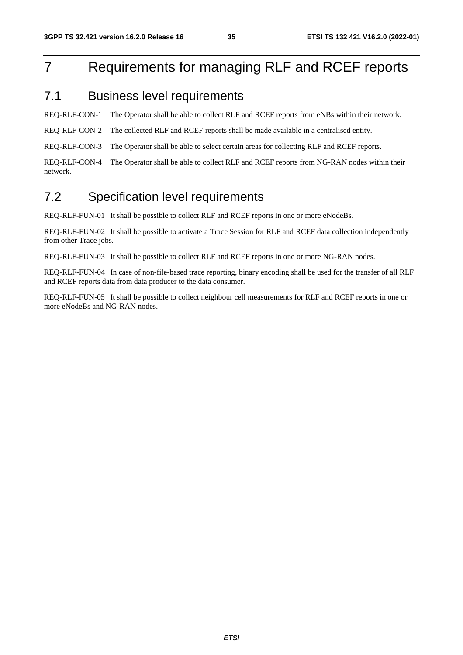## 7 Requirements for managing RLF and RCEF reports

#### 7.1 Business level requirements

REQ-RLF-CON-1 The Operator shall be able to collect RLF and RCEF reports from eNBs within their network.

REQ-RLF-CON-2 The collected RLF and RCEF reports shall be made available in a centralised entity.

REQ-RLF-CON-3 The Operator shall be able to select certain areas for collecting RLF and RCEF reports.

REQ-RLF-CON-4 The Operator shall be able to collect RLF and RCEF reports from NG-RAN nodes within their network.

#### 7.2 Specification level requirements

REQ-RLF-FUN-01 It shall be possible to collect RLF and RCEF reports in one or more eNodeBs.

REQ-RLF-FUN-02 It shall be possible to activate a Trace Session for RLF and RCEF data collection independently from other Trace jobs.

REQ-RLF-FUN-03 It shall be possible to collect RLF and RCEF reports in one or more NG-RAN nodes.

REQ-RLF-FUN-04 In case of non-file-based trace reporting, binary encoding shall be used for the transfer of all RLF and RCEF reports data from data producer to the data consumer.

REQ-RLF-FUN-05 It shall be possible to collect neighbour cell measurements for RLF and RCEF reports in one or more eNodeBs and NG-RAN nodes.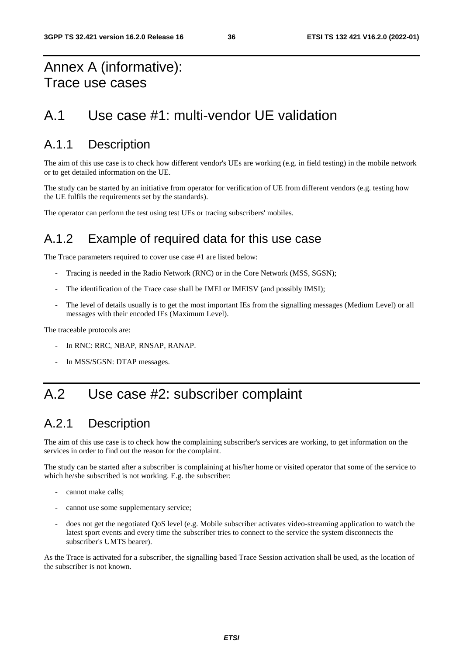### Annex A (informative): Trace use cases

### A.1 Use case #1: multi-vendor UE validation

### A.1.1 Description

The aim of this use case is to check how different vendor's UEs are working (e.g. in field testing) in the mobile network or to get detailed information on the UE.

The study can be started by an initiative from operator for verification of UE from different vendors (e.g. testing how the UE fulfils the requirements set by the standards).

The operator can perform the test using test UEs or tracing subscribers' mobiles.

### A.1.2 Example of required data for this use case

The Trace parameters required to cover use case #1 are listed below:

- Tracing is needed in the Radio Network (RNC) or in the Core Network (MSS, SGSN);
- The identification of the Trace case shall be IMEI or IMEISV (and possibly IMSI);
- The level of details usually is to get the most important IEs from the signalling messages (Medium Level) or all messages with their encoded IEs (Maximum Level).

The traceable protocols are:

- In RNC: RRC, NBAP, RNSAP, RANAP.
- In MSS/SGSN: DTAP messages.

### A.2 Use case #2: subscriber complaint

### A.2.1 Description

The aim of this use case is to check how the complaining subscriber's services are working, to get information on the services in order to find out the reason for the complaint.

The study can be started after a subscriber is complaining at his/her home or visited operator that some of the service to which he/she subscribed is not working. E.g. the subscriber:

- cannot make calls:
- cannot use some supplementary service;
- does not get the negotiated QoS level (e.g. Mobile subscriber activates video-streaming application to watch the latest sport events and every time the subscriber tries to connect to the service the system disconnects the subscriber's UMTS bearer).

As the Trace is activated for a subscriber, the signalling based Trace Session activation shall be used, as the location of the subscriber is not known.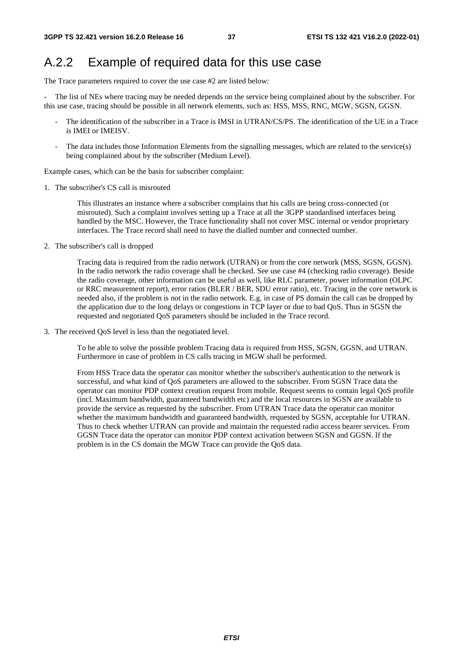### A.2.2 Example of required data for this use case

The Trace parameters required to cover the use case #2 are listed below:

The list of NEs where tracing may be needed depends on the service being complained about by the subscriber. For this use case, tracing should be possible in all network elements, such as: HSS, MSS, RNC, MGW, SGSN, GGSN.

- The identification of the subscriber in a Trace is IMSI in UTRAN/CS/PS. The identification of the UE in a Trace is IMEI or IMEISV.
- The data includes those Information Elements from the signalling messages, which are related to the service(s) being complained about by the subscriber (Medium Level).

Example cases, which can be the basis for subscriber complaint:

1. The subscriber's CS call is misrouted

 This illustrates an instance where a subscriber complains that his calls are being cross-connected (or misrouted). Such a complaint involves setting up a Trace at all the 3GPP standardised interfaces being handled by the MSC. However, the Trace functionality shall not cover MSC internal or vendor proprietary interfaces. The Trace record shall need to have the dialled number and connected number.

2. The subscriber's call is dropped

 Tracing data is required from the radio network (UTRAN) or from the core network (MSS, SGSN, GGSN). In the radio network the radio coverage shall be checked. See use case #4 (checking radio coverage). Beside the radio coverage, other information can be useful as well, like RLC parameter, power information (OLPC or RRC measurement report), error ratios (BLER / BER, SDU error ratio), etc. Tracing in the core network is needed also, if the problem is not in the radio network. E.g. in case of PS domain the call can be dropped by the application due to the long delays or congestions in TCP layer or due to bad QoS. Thus in SGSN the requested and negotiated QoS parameters should be included in the Trace record.

3. The received QoS level is less than the negotiated level.

 To be able to solve the possible problem Tracing data is required from HSS, SGSN, GGSN, and UTRAN. Furthermore in case of problem in CS calls tracing in MGW shall be performed.

 From HSS Trace data the operator can monitor whether the subscriber's authentication to the network is successful, and what kind of QoS parameters are allowed to the subscriber. From SGSN Trace data the operator can monitor PDP context creation request from mobile. Request seems to contain legal QoS profile (incl. Maximum bandwidth, guaranteed bandwidth etc) and the local resources in SGSN are available to provide the service as requested by the subscriber. From UTRAN Trace data the operator can monitor whether the maximum bandwidth and guaranteed bandwidth, requested by SGSN, acceptable for UTRAN. Thus to check whether UTRAN can provide and maintain the requested radio access bearer services. From GGSN Trace data the operator can monitor PDP context activation between SGSN and GGSN. If the problem is in the CS domain the MGW Trace can provide the QoS data.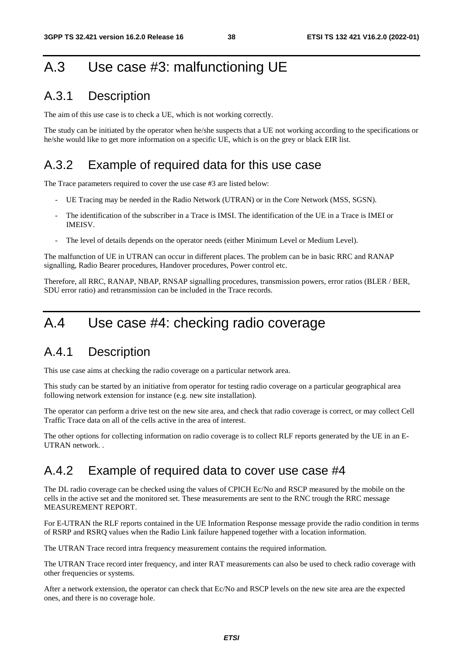## A.3 Use case #3: malfunctioning UE

### A.3.1 Description

The aim of this use case is to check a UE, which is not working correctly.

The study can be initiated by the operator when he/she suspects that a UE not working according to the specifications or he/she would like to get more information on a specific UE, which is on the grey or black EIR list.

### A.3.2 Example of required data for this use case

The Trace parameters required to cover the use case #3 are listed below:

- UE Tracing may be needed in the Radio Network (UTRAN) or in the Core Network (MSS, SGSN).
- The identification of the subscriber in a Trace is IMSI. The identification of the UE in a Trace is IMEI or IMEISV.
- The level of details depends on the operator needs (either Minimum Level or Medium Level).

The malfunction of UE in UTRAN can occur in different places. The problem can be in basic RRC and RANAP signalling, Radio Bearer procedures, Handover procedures, Power control etc.

Therefore, all RRC, RANAP, NBAP, RNSAP signalling procedures, transmission powers, error ratios (BLER / BER, SDU error ratio) and retransmission can be included in the Trace records.

### A.4 Use case #4: checking radio coverage

#### A.4.1 Description

This use case aims at checking the radio coverage on a particular network area.

This study can be started by an initiative from operator for testing radio coverage on a particular geographical area following network extension for instance (e.g. new site installation).

The operator can perform a drive test on the new site area, and check that radio coverage is correct, or may collect Cell Traffic Trace data on all of the cells active in the area of interest.

The other options for collecting information on radio coverage is to collect RLF reports generated by the UE in an E-UTRAN network. .

#### A.4.2 Example of required data to cover use case #4

The DL radio coverage can be checked using the values of CPICH Ec/No and RSCP measured by the mobile on the cells in the active set and the monitored set. These measurements are sent to the RNC trough the RRC message MEASUREMENT REPORT.

For E-UTRAN the RLF reports contained in the UE Information Response message provide the radio condition in terms of RSRP and RSRQ values when the Radio Link failure happened together with a location information.

The UTRAN Trace record intra frequency measurement contains the required information.

The UTRAN Trace record inter frequency, and inter RAT measurements can also be used to check radio coverage with other frequencies or systems.

After a network extension, the operator can check that Ec/No and RSCP levels on the new site area are the expected ones, and there is no coverage hole.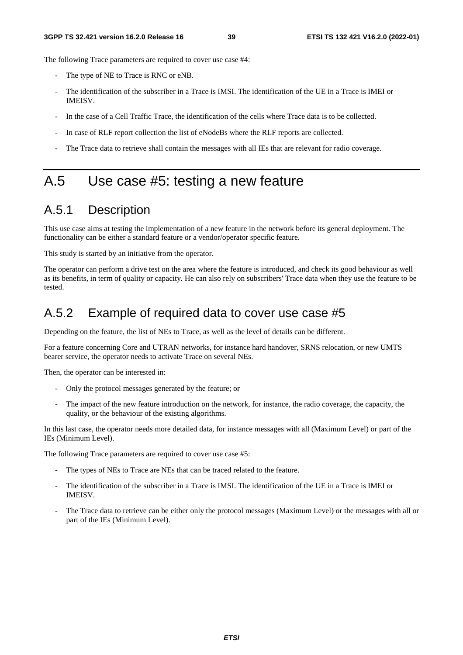The following Trace parameters are required to cover use case #4:

- The type of NE to Trace is RNC or eNB.
- The identification of the subscriber in a Trace is IMSI. The identification of the UE in a Trace is IMEI or IMEISV.
- In the case of a Cell Traffic Trace, the identification of the cells where Trace data is to be collected.
- In case of RLF report collection the list of eNodeBs where the RLF reports are collected.
- The Trace data to retrieve shall contain the messages with all IEs that are relevant for radio coverage.

### A.5 Use case #5: testing a new feature

### A.5.1 Description

This use case aims at testing the implementation of a new feature in the network before its general deployment. The functionality can be either a standard feature or a vendor/operator specific feature.

This study is started by an initiative from the operator.

The operator can perform a drive test on the area where the feature is introduced, and check its good behaviour as well as its benefits, in term of quality or capacity. He can also rely on subscribers' Trace data when they use the feature to be tested.

### A.5.2 Example of required data to cover use case #5

Depending on the feature, the list of NEs to Trace, as well as the level of details can be different.

For a feature concerning Core and UTRAN networks, for instance hard handover, SRNS relocation, or new UMTS bearer service, the operator needs to activate Trace on several NEs.

Then, the operator can be interested in:

- Only the protocol messages generated by the feature; or
- The impact of the new feature introduction on the network, for instance, the radio coverage, the capacity, the quality, or the behaviour of the existing algorithms.

In this last case, the operator needs more detailed data, for instance messages with all (Maximum Level) or part of the IEs (Minimum Level).

The following Trace parameters are required to cover use case #5:

- The types of NEs to Trace are NEs that can be traced related to the feature.
- The identification of the subscriber in a Trace is IMSI. The identification of the UE in a Trace is IMEI or IMEISV.
- The Trace data to retrieve can be either only the protocol messages (Maximum Level) or the messages with all or part of the IEs (Minimum Level).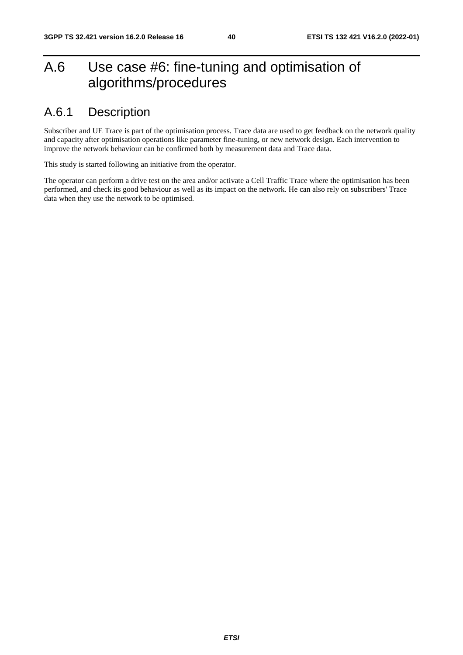## A.6 Use case #6: fine-tuning and optimisation of algorithms/procedures

### A.6.1 Description

Subscriber and UE Trace is part of the optimisation process. Trace data are used to get feedback on the network quality and capacity after optimisation operations like parameter fine-tuning, or new network design. Each intervention to improve the network behaviour can be confirmed both by measurement data and Trace data.

This study is started following an initiative from the operator.

The operator can perform a drive test on the area and/or activate a Cell Traffic Trace where the optimisation has been performed, and check its good behaviour as well as its impact on the network. He can also rely on subscribers' Trace data when they use the network to be optimised.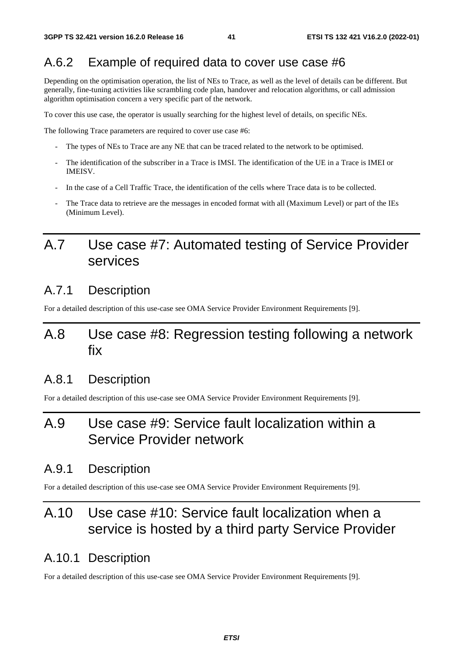### A.6.2 Example of required data to cover use case #6

Depending on the optimisation operation, the list of NEs to Trace, as well as the level of details can be different. But generally, fine-tuning activities like scrambling code plan, handover and relocation algorithms, or call admission algorithm optimisation concern a very specific part of the network.

To cover this use case, the operator is usually searching for the highest level of details, on specific NEs.

The following Trace parameters are required to cover use case #6:

- The types of NEs to Trace are any NE that can be traced related to the network to be optimised.
- The identification of the subscriber in a Trace is IMSI. The identification of the UE in a Trace is IMEI or IMEISV.
- In the case of a Cell Traffic Trace, the identification of the cells where Trace data is to be collected.
- The Trace data to retrieve are the messages in encoded format with all (Maximum Level) or part of the IEs (Minimum Level).

### A.7 Use case #7: Automated testing of Service Provider services

#### A.7.1 Description

For a detailed description of this use-case see OMA Service Provider Environment Requirements [9].

### A.8 Use case #8: Regression testing following a network fix

#### A.8.1 Description

For a detailed description of this use-case see OMA Service Provider Environment Requirements [9].

### A.9 Use case #9: Service fault localization within a Service Provider network

#### A.9.1 Description

For a detailed description of this use-case see OMA Service Provider Environment Requirements [9].

## A.10 Use case #10: Service fault localization when a service is hosted by a third party Service Provider

#### A.10.1 Description

For a detailed description of this use-case see OMA Service Provider Environment Requirements [9].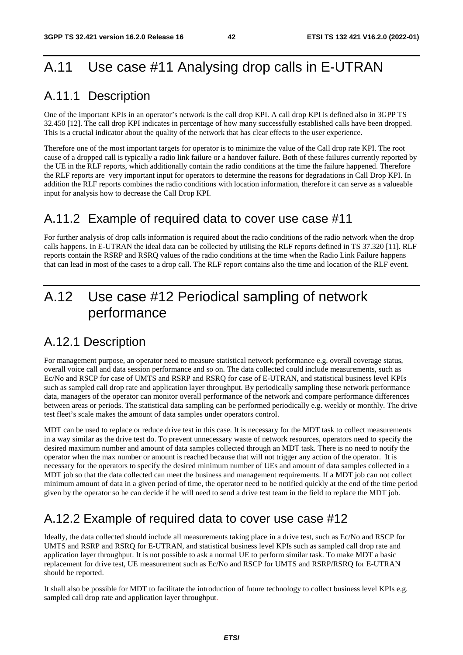## A.11 Use case #11 Analysing drop calls in E-UTRAN

### A.11.1 Description

One of the important KPIs in an operator's network is the call drop KPI. A call drop KPI is defined also in 3GPP TS 32.450 [12]. The call drop KPI indicates in percentage of how many successfully established calls have been dropped. This is a crucial indicator about the quality of the network that has clear effects to the user experience.

Therefore one of the most important targets for operator is to minimize the value of the Call drop rate KPI. The root cause of a dropped call is typically a radio link failure or a handover failure. Both of these failures currently reported by the UE in the RLF reports, which additionally contain the radio conditions at the time the failure happened. Therefore the RLF reports are very important input for operators to determine the reasons for degradations in Call Drop KPI. In addition the RLF reports combines the radio conditions with location information, therefore it can serve as a valueable input for analysis how to decrease the Call Drop KPI.

### A.11.2 Example of required data to cover use case #11

For further analysis of drop calls information is required about the radio conditions of the radio network when the drop calls happens. In E-UTRAN the ideal data can be collected by utilising the RLF reports defined in TS 37.320 [11]. RLF reports contain the RSRP and RSRQ values of the radio conditions at the time when the Radio Link Failure happens that can lead in most of the cases to a drop call. The RLF report contains also the time and location of the RLF event.

## A.12 Use case #12 Periodical sampling of network performance

### A.12.1 Description

For management purpose, an operator need to measure statistical network performance e.g. overall coverage status, overall voice call and data session performance and so on. The data collected could include measurements, such as Ec/No and RSCP for case of UMTS and RSRP and RSRQ for case of E-UTRAN, and statistical business level KPIs such as sampled call drop rate and application layer throughput. By periodically sampling these network performance data, managers of the operator can monitor overall performance of the network and compare performance differences between areas or periods. The statistical data sampling can be performed periodically e.g. weekly or monthly. The drive test fleet's scale makes the amount of data samples under operators control.

MDT can be used to replace or reduce drive test in this case. It is necessary for the MDT task to collect measurements in a way similar as the drive test do. To prevent unnecessary waste of network resources, operators need to specify the desired maximum number and amount of data samples collected through an MDT task. There is no need to notify the operator when the max number or amount is reached because that will not trigger any action of the operator. It is necessary for the operators to specify the desired minimum number of UEs and amount of data samples collected in a MDT job so that the data collected can meet the business and management requirements. If a MDT job can not collect minimum amount of data in a given period of time, the operator need to be notified quickly at the end of the time period given by the operator so he can decide if he will need to send a drive test team in the field to replace the MDT job.

### A.12.2 Example of required data to cover use case #12

Ideally, the data collected should include all measurements taking place in a drive test, such as Ec/No and RSCP for UMTS and RSRP and RSRQ for E-UTRAN, and statistical business level KPIs such as sampled call drop rate and application layer throughput. It is not possible to ask a normal UE to perform similar task. To make MDT a basic replacement for drive test, UE measurement such as Ec/No and RSCP for UMTS and RSRP/RSRQ for E-UTRAN should be reported.

It shall also be possible for MDT to facilitate the introduction of future technology to collect business level KPIs e.g. sampled call drop rate and application layer throughput.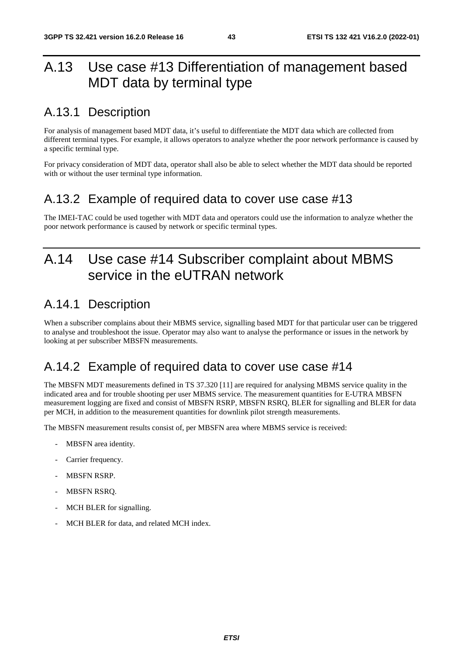## A.13 Use case #13 Differentiation of management based MDT data by terminal type

### A.13.1 Description

For analysis of management based MDT data, it's useful to differentiate the MDT data which are collected from different terminal types. For example, it allows operators to analyze whether the poor network performance is caused by a specific terminal type.

For privacy consideration of MDT data, operator shall also be able to select whether the MDT data should be reported with or without the user terminal type information.

### A.13.2 Example of required data to cover use case #13

The IMEI-TAC could be used together with MDT data and operators could use the information to analyze whether the poor network performance is caused by network or specific terminal types.

## A.14 Use case #14 Subscriber complaint about MBMS service in the eUTRAN network

### A.14.1 Description

When a subscriber complains about their MBMS service, signalling based MDT for that particular user can be triggered to analyse and troubleshoot the issue. Operator may also want to analyse the performance or issues in the network by looking at per subscriber MBSFN measurements.

### A.14.2 Example of required data to cover use case #14

The MBSFN MDT measurements defined in TS 37.320 [11] are required for analysing MBMS service quality in the indicated area and for trouble shooting per user MBMS service. The measurement quantities for E-UTRA MBSFN measurement logging are fixed and consist of MBSFN RSRP, MBSFN RSRQ, BLER for signalling and BLER for data per MCH, in addition to the measurement quantities for downlink pilot strength measurements.

The MBSFN measurement results consist of, per MBSFN area where MBMS service is received:

- MBSFN area identity.
- Carrier frequency.
- **MBSFN RSRP.**
- MBSFN RSRO.
- MCH BLER for signalling.
- MCH BLER for data, and related MCH index.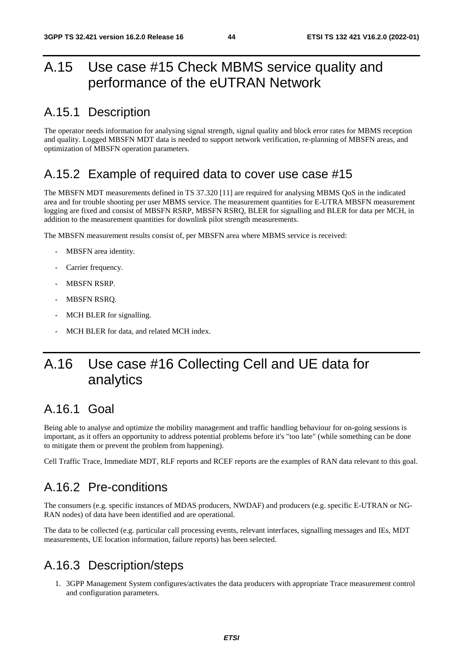## A.15 Use case #15 Check MBMS service quality and performance of the eUTRAN Network

### A.15.1 Description

The operator needs information for analysing signal strength, signal quality and block error rates for MBMS reception and quality. Logged MBSFN MDT data is needed to support network verification, re-planning of MBSFN areas, and optimization of MBSFN operation parameters.

### A.15.2 Example of required data to cover use case #15

The MBSFN MDT measurements defined in TS 37.320 [11] are required for analysing MBMS QoS in the indicated area and for trouble shooting per user MBMS service. The measurement quantities for E-UTRA MBSFN measurement logging are fixed and consist of MBSFN RSRP, MBSFN RSRQ, BLER for signalling and BLER for data per MCH, in addition to the measurement quantities for downlink pilot strength measurements.

The MBSFN measurement results consist of, per MBSFN area where MBMS service is received:

- MBSFN area identity.
- Carrier frequency.
- MBSFN RSRP.
- MBSFN RSRQ.
- MCH BLER for signalling.
- MCH BLER for data, and related MCH index.

## A.16 Use case #16 Collecting Cell and UE data for analytics

### A.16.1 Goal

Being able to analyse and optimize the mobility management and traffic handling behaviour for on-going sessions is important, as it offers an opportunity to address potential problems before it's "too late" (while something can be done to mitigate them or prevent the problem from happening).

Cell Traffic Trace, Immediate MDT, RLF reports and RCEF reports are the examples of RAN data relevant to this goal.

### A.16.2 Pre-conditions

The consumers (e.g. specific instances of MDAS producers, NWDAF) and producers (e.g. specific E-UTRAN or NG-RAN nodes) of data have been identified and are operational.

The data to be collected (e.g. particular call processing events, relevant interfaces, signalling messages and IEs, MDT measurements, UE location information, failure reports) has been selected.

### A.16.3 Description/steps

1. 3GPP Management System configures/activates the data producers with appropriate Trace measurement control and configuration parameters.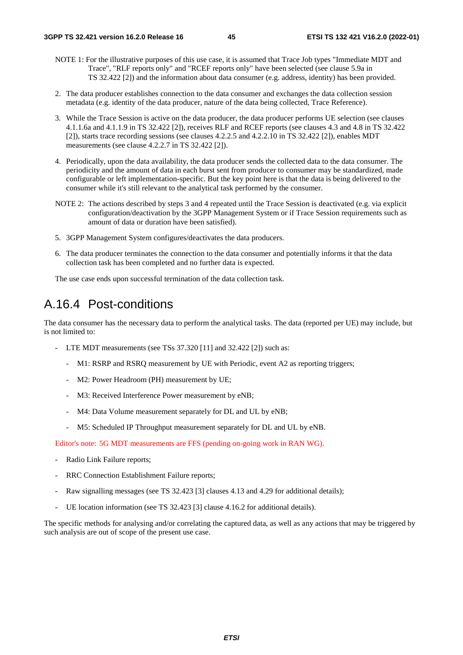- NOTE 1: For the illustrative purposes of this use case, it is assumed that Trace Job types "Immediate MDT and Trace", "RLF reports only" and "RCEF reports only" have been selected (see clause 5.9a in TS 32.422 [2]) and the information about data consumer (e.g. address, identity) has been provided.
- 2. The data producer establishes connection to the data consumer and exchanges the data collection session metadata (e.g. identity of the data producer, nature of the data being collected, Trace Reference).
- 3. While the Trace Session is active on the data producer, the data producer performs UE selection (see clauses 4.1.1.6a and 4.1.1.9 in TS 32.422 [2]), receives RLF and RCEF reports (see clauses 4.3 and 4.8 in TS 32.422 [2]), starts trace recording sessions (see clauses 4.2.2.5 and 4.2.2.10 in TS 32.422 [2]), enables MDT measurements (see clause 4.2.2.7 in TS 32.422 [2]).
- 4. Periodically, upon the data availability, the data producer sends the collected data to the data consumer. The periodicity and the amount of data in each burst sent from producer to consumer may be standardized, made configurable or left implementation-specific. But the key point here is that the data is being delivered to the consumer while it's still relevant to the analytical task performed by the consumer.
- NOTE 2: The actions described by steps 3 and 4 repeated until the Trace Session is deactivated (e.g. via explicit configuration/deactivation by the 3GPP Management System or if Trace Session requirements such as amount of data or duration have been satisfied).
- 5. 3GPP Management System configures/deactivates the data producers.
- 6. The data producer terminates the connection to the data consumer and potentially informs it that the data collection task has been completed and no further data is expected.

The use case ends upon successful termination of the data collection task.

### A.16.4 Post-conditions

The data consumer has the necessary data to perform the analytical tasks. The data (reported per UE) may include, but is not limited to:

- LTE MDT measurements (see TSs 37.320 [11] and 32.422 [2]) such as:
	- M1: RSRP and RSRQ measurement by UE with Periodic, event A2 as reporting triggers;
	- M2: Power Headroom (PH) measurement by UE;
	- M3: Received Interference Power measurement by eNB;
	- M4: Data Volume measurement separately for DL and UL by eNB;
	- M5: Scheduled IP Throughput measurement separately for DL and UL by eNB.

Editor's note: 5G MDT measurements are FFS (pending on-going work in RAN WG).

- Radio Link Failure reports;
- RRC Connection Establishment Failure reports;
- Raw signalling messages (see TS 32.423 [3] clauses 4.13 and 4.29 for additional details);
- UE location information (see TS 32.423 [3] clause 4.16.2 for additional details).

The specific methods for analysing and/or correlating the captured data, as well as any actions that may be triggered by such analysis are out of scope of the present use case.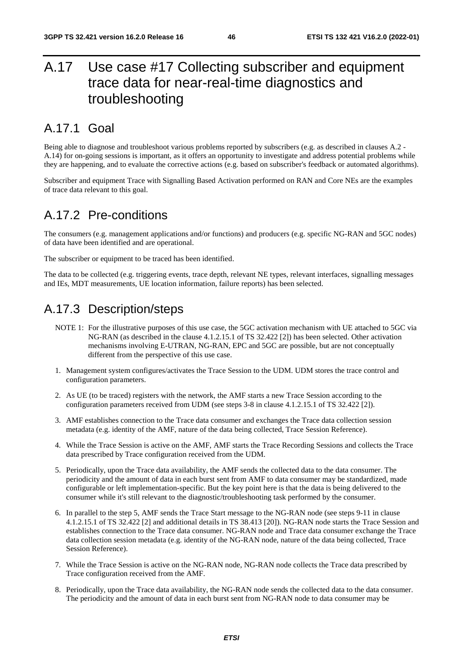## A.17 Use case #17 Collecting subscriber and equipment trace data for near-real-time diagnostics and troubleshooting

### A.17.1 Goal

Being able to diagnose and troubleshoot various problems reported by subscribers (e.g. as described in clauses A.2 - A.14) for on-going sessions is important, as it offers an opportunity to investigate and address potential problems while they are happening, and to evaluate the corrective actions (e.g. based on subscriber's feedback or automated algorithms).

Subscriber and equipment Trace with Signalling Based Activation performed on RAN and Core NEs are the examples of trace data relevant to this goal.

#### A.17.2 Pre-conditions

The consumers (e.g. management applications and/or functions) and producers (e.g. specific NG-RAN and 5GC nodes) of data have been identified and are operational.

The subscriber or equipment to be traced has been identified.

The data to be collected (e.g. triggering events, trace depth, relevant NE types, relevant interfaces, signalling messages and IEs, MDT measurements, UE location information, failure reports) has been selected.

### A.17.3 Description/steps

- NOTE 1: For the illustrative purposes of this use case, the 5GC activation mechanism with UE attached to 5GC via NG-RAN (as described in the clause 4.1.2.15.1 of TS 32.422 [2]) has been selected. Other activation mechanisms involving E-UTRAN, NG-RAN, EPC and 5GC are possible, but are not conceptually different from the perspective of this use case.
- 1. Management system configures/activates the Trace Session to the UDM. UDM stores the trace control and configuration parameters.
- 2. As UE (to be traced) registers with the network, the AMF starts a new Trace Session according to the configuration parameters received from UDM (see steps 3-8 in clause 4.1.2.15.1 of TS 32.422 [2]).
- 3. AMF establishes connection to the Trace data consumer and exchanges the Trace data collection session metadata (e.g. identity of the AMF, nature of the data being collected, Trace Session Reference).
- 4. While the Trace Session is active on the AMF, AMF starts the Trace Recording Sessions and collects the Trace data prescribed by Trace configuration received from the UDM.
- 5. Periodically, upon the Trace data availability, the AMF sends the collected data to the data consumer. The periodicity and the amount of data in each burst sent from AMF to data consumer may be standardized, made configurable or left implementation-specific. But the key point here is that the data is being delivered to the consumer while it's still relevant to the diagnostic/troubleshooting task performed by the consumer.
- 6. In parallel to the step 5, AMF sends the Trace Start message to the NG-RAN node (see steps 9-11 in clause 4.1.2.15.1 of TS 32.422 [2] and additional details in TS 38.413 [20]). NG-RAN node starts the Trace Session and establishes connection to the Trace data consumer. NG-RAN node and Trace data consumer exchange the Trace data collection session metadata (e.g. identity of the NG-RAN node, nature of the data being collected, Trace Session Reference).
- 7. While the Trace Session is active on the NG-RAN node, NG-RAN node collects the Trace data prescribed by Trace configuration received from the AMF.
- 8. Periodically, upon the Trace data availability, the NG-RAN node sends the collected data to the data consumer. The periodicity and the amount of data in each burst sent from NG-RAN node to data consumer may be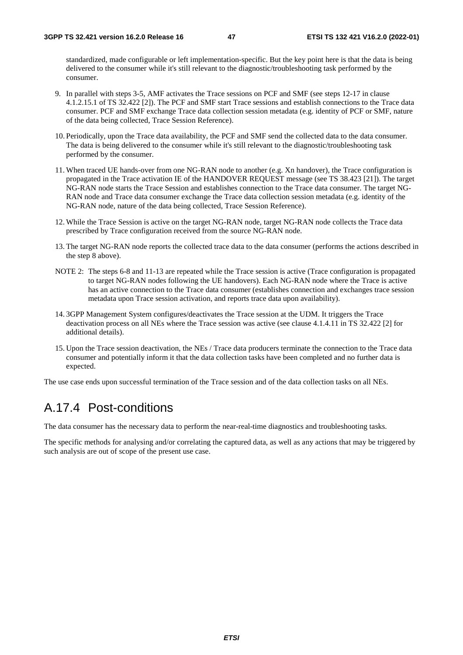standardized, made configurable or left implementation-specific. But the key point here is that the data is being delivered to the consumer while it's still relevant to the diagnostic/troubleshooting task performed by the consumer.

- 9. In parallel with steps 3-5, AMF activates the Trace sessions on PCF and SMF (see steps 12-17 in clause 4.1.2.15.1 of TS 32.422 [2]). The PCF and SMF start Trace sessions and establish connections to the Trace data consumer. PCF and SMF exchange Trace data collection session metadata (e.g. identity of PCF or SMF, nature of the data being collected, Trace Session Reference).
- 10. Periodically, upon the Trace data availability, the PCF and SMF send the collected data to the data consumer. The data is being delivered to the consumer while it's still relevant to the diagnostic/troubleshooting task performed by the consumer.
- 11. When traced UE hands-over from one NG-RAN node to another (e.g. Xn handover), the Trace configuration is propagated in the Trace activation IE of the HANDOVER REQUEST message (see TS 38.423 [21]). The target NG-RAN node starts the Trace Session and establishes connection to the Trace data consumer. The target NG-RAN node and Trace data consumer exchange the Trace data collection session metadata (e.g. identity of the NG-RAN node, nature of the data being collected, Trace Session Reference).
- 12. While the Trace Session is active on the target NG-RAN node, target NG-RAN node collects the Trace data prescribed by Trace configuration received from the source NG-RAN node.
- 13. The target NG-RAN node reports the collected trace data to the data consumer (performs the actions described in the step 8 above).
- NOTE 2: The steps 6-8 and 11-13 are repeated while the Trace session is active (Trace configuration is propagated to target NG-RAN nodes following the UE handovers). Each NG-RAN node where the Trace is active has an active connection to the Trace data consumer (establishes connection and exchanges trace session metadata upon Trace session activation, and reports trace data upon availability).
- 14. 3GPP Management System configures/deactivates the Trace session at the UDM. It triggers the Trace deactivation process on all NEs where the Trace session was active (see clause 4.1.4.11 in TS 32.422 [2] for additional details).
- 15. Upon the Trace session deactivation, the NEs / Trace data producers terminate the connection to the Trace data consumer and potentially inform it that the data collection tasks have been completed and no further data is expected.

The use case ends upon successful termination of the Trace session and of the data collection tasks on all NEs.

### A.17.4 Post-conditions

The data consumer has the necessary data to perform the near-real-time diagnostics and troubleshooting tasks.

The specific methods for analysing and/or correlating the captured data, as well as any actions that may be triggered by such analysis are out of scope of the present use case.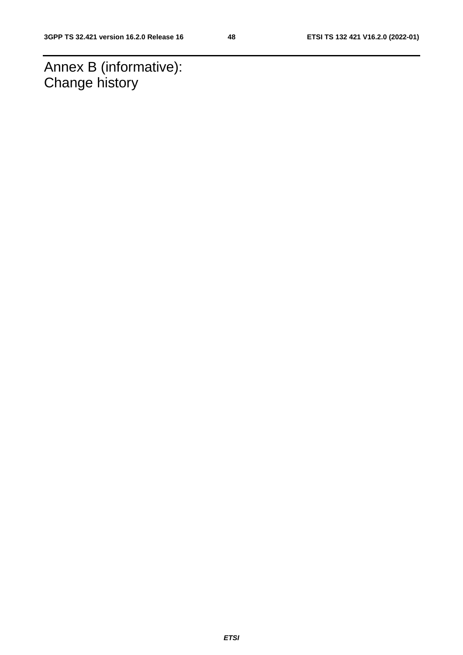Annex B (informative): Change history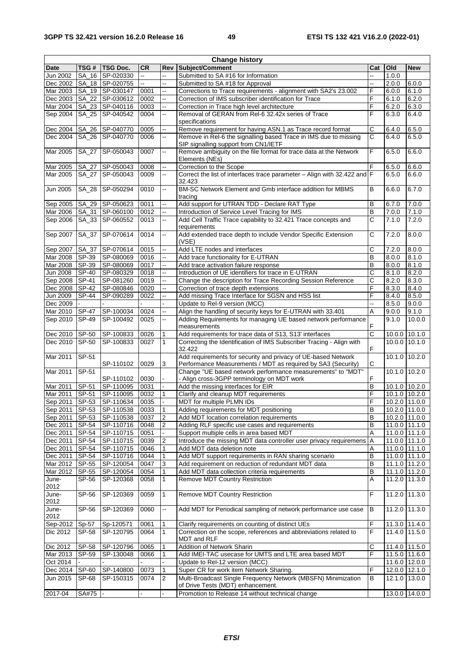| <b>Change history</b> |              |                 |      |                          |                                                                          |                          |       |                              |
|-----------------------|--------------|-----------------|------|--------------------------|--------------------------------------------------------------------------|--------------------------|-------|------------------------------|
| Date                  | TSG #        | <b>TSG Doc.</b> | CR   | Rev                      | Subject/Comment                                                          | Cat                      | Old   | <b>New</b>                   |
| Jun 2002              |              | SA_16 SP-020330 | ÷.   | L.                       | Submitted to SA #16 for Information                                      | $\overline{\phantom{a}}$ | 1.0.0 |                              |
| Dec 2002              |              | SA_18 SP-020755 |      | --                       | Submitted to SA #18 for Approval                                         |                          | 2.0.0 | 6.0.0                        |
| Mar 2003              |              | SA_19 SP-030147 | 0001 | --                       | Corrections to Trace requirements - alignment with SA2's 23.002<br>F     |                          | 6.0.0 | 6.1.0                        |
| Dec 2003              |              | SA_22 SP-030612 | 0002 | ш,                       | Correction of IMS subscriber identification for Trace                    | F                        | 6.1.0 | 6.2.0                        |
| Mar 2004              |              | SA_23 SP-040116 | 0003 | Ш.                       | Correction in Trace high level architecture                              | F                        | 6.2.0 | 6.3.0                        |
| Sep 2004              |              | SA_25 SP-040542 | 0004 | --                       | Removal of GERAN from Rel-6 32.42x series of Trace                       | F                        | 6.3.0 | 6.4.0                        |
|                       |              |                 |      |                          | specifications                                                           |                          |       |                              |
| Dec 2004              |              | SA_26 SP-040770 | 0005 | ă.                       | Remove requirement for having ASN.1 as Trace record format               | C                        | 6.4.0 | 6.5.0                        |
| Dec 2004              |              | SA_26 SP-040770 | 0006 | --                       | Remove in Rel-6 the signalling based Trace in IMS due to missing         | C                        | 6.4.0 | 6.5.0                        |
|                       |              |                 |      |                          | SIP signalling support from CN1/IETF                                     |                          |       |                              |
| Mar 2005              | SA_27        | SP-050043       | 0007 | --                       | Remove ambiguity on the file format for trace data at the Network        | F                        | 6.5.0 | 6.6.0                        |
|                       |              |                 |      |                          | Elements (NEs)                                                           |                          |       |                              |
| Mar 2005              | SA_27        | SP-050043       | 0008 | ш,                       | Correction to the Scope                                                  | F                        | 6.5.0 | 6.6.0                        |
| Mar 2005              |              | SA_27 SP-050043 | 0009 | --                       | Correct the list of interfaces trace parameter - Align with 32.422 and F |                          | 6.5.0 | 6.6.0                        |
|                       |              |                 |      |                          | 32.423                                                                   |                          |       |                              |
| Jun 2005              | SA_28        | SP-050294       | 0010 | щ.                       | BM-SC Network Element and Gmb interface addition for MBMS                | B                        | 6.6.0 | 6.7.0                        |
|                       |              |                 |      |                          |                                                                          |                          |       |                              |
|                       |              |                 | 0011 | ш,                       | tracing                                                                  | B                        |       |                              |
| Sep 2005              |              | SA_29 SP-050623 |      |                          | Add support for UTRAN TDD - Declare RAT Type                             |                          | 6.7.0 | 7.0.0                        |
| Mar 2006              |              | SA_31 SP-060100 | 0012 | --                       | Introduction of Service Level Tracing for IMS                            | B                        | 7.0.0 | 7.1.0                        |
| Sep 2006              |              | SA_33 SP-060552 | 0013 | $\overline{\phantom{a}}$ | Add Cell Traffic Trace capability to 32.421 Trace concepts and           | C                        | 7.1.0 | 7.2.0                        |
|                       |              |                 |      |                          | requirements                                                             |                          |       |                              |
| Sep 2007              |              | SA_37 SP-070614 | 0014 | --                       | Add extended trace depth to include Vendor Specific Extension            | C                        | 7.2.0 | 8.0.0                        |
|                       |              |                 |      |                          | (VSE)                                                                    |                          |       |                              |
| Sep 2007              |              | SA_37 SP-070614 | 0015 | --                       | Add LTE nodes and interfaces                                             | С                        | 7.2.0 | 8.0.0                        |
| Mar 2008              | SP-39        | SP-080069       | 0016 | $\overline{\phantom{a}}$ | Add trace functionality for E-UTRAN                                      | B                        | 8.0.0 | 8.1.0                        |
| Mar 2008              | SP-39        | SP-080069       | 0017 | ш,                       | Add trace activation failure response                                    | B                        | 8.0.0 | 8.1.0                        |
| Jun 2008              | SP-40        | SP-080329       | 0018 | --                       | Introduction of UE identifiers for trace in E-UTRAN                      | C                        | 8.1.0 | 8.2.0                        |
| Sep 2008              | SP-41        | SP-081260       | 0019 | $\overline{\phantom{a}}$ | Change the description for Trace Recording Session Reference             | С                        | 8.2.0 | 8.3.0                        |
| Dec 2008              | $ SP-42$     | SP-080846       | 0020 |                          | Correction of trace depth extensions                                     | F                        | 8.3.0 | 8.4.0                        |
| Jun 2009              | <b>SP-44</b> | SP-090289       | 0022 | --                       | Add missing Trace Interface for SGSN and HSS list                        | F                        | 8.4.0 | 8.5.0                        |
| Dec 2009              |              |                 |      |                          | Update to Rel-9 version (MCC)                                            | Ξ.                       | 8.5.0 | 9.0.0                        |
| Mar 2010              | <b>SP-47</b> | SP-100034       | 0024 | цü                       | Align the handling of security keys for E-UTRAN with 33.401              | A                        | 9.0.0 | 9.1.0                        |
| Sep 2010              | <b>SP-49</b> | SP-100492       | 0025 | ш,                       | Adding Requirements for managing UE based network performance            |                          | 9.1.0 | 10.0.0                       |
|                       |              |                 |      |                          | measurements                                                             | F                        |       |                              |
| Dec 2010              | SP-50        | SP-100833       | 0026 | $\mathbf{1}$             | Add requirements for trace data of S13, S13' interfaces                  | C                        |       | 10.0.0 10.1.0                |
| Dec 2010              | $ SP-50 $    | SP-100833       | 0027 | 1                        | Correcting the Identification of IMS Subscriber Tracing - Align with     |                          |       | 10.0.0 10.1.0                |
|                       |              |                 |      |                          | 32.422                                                                   | F                        |       |                              |
| Mar 2011              | SP-51        |                 |      |                          | Add requirements for security and privacy of UE-based Network            |                          |       | 10.1.0 10.2.0                |
|                       |              | SP-110102       | 0029 | 3                        | Performance Measurements / MDT as required by SA3 (Security)             | С                        |       |                              |
| Mar 2011              | SP-51        |                 |      |                          | Change "UE based network performance measurements" to "MDT"              |                          |       | 10.1.0 10.2.0                |
|                       |              | SP-110102       | 0030 |                          | - Align cross-3GPP terminology on MDT work                               | F                        |       |                              |
| Mar 2011              | SP-51        | SP-110095       | 0031 |                          | Add the missing interfaces for EIR                                       | B                        |       | $10.1.0$ $10.\overline{2.0}$ |
| Mar 2011              | $SP-51$      | SP-110095       | 0032 | 1                        | Clarify and cleanup MDT requirements                                     | F                        |       | 10.1.0 10.2.0                |
| Sep 2011              | SP-53        | SP-110634       | 0035 | $\mathbf{r}$             | MDT for multiple PLMN IDs                                                | F                        |       | 10.2.0 11.0.0                |
| Sep 2011 SP-53        |              | SP-110538       | 0033 | 1                        |                                                                          | в                        |       | 10.2.0 11.0.0                |
|                       |              |                 |      |                          | Adding requirements for MDT positioning                                  | B                        |       | 10.2.0 11.0.0                |
| Sep 2011              | SP-53        | SP-110538       | 0037 | $\overline{c}$           | Add MDT location correlation requirements                                |                          |       |                              |
| Dec 2011              | SP-54        | SP-110716       | 0048 | $\overline{2}$           | Adding RLF specific use cases and requirements                           | B                        |       | 11.0.0 11.1.0                |
| Dec 2011 SP-54        |              | SP-110715       | 0051 |                          | Support multiple cells in area based MDT                                 | Α                        |       | 11.0.0 11.1.0                |
| Dec 2011              | SP-54        | SP-110715       | 0039 | $\overline{c}$           | Introduce the missing MDT data controller user privacy requiremens       | Α                        |       | 11.0.0 11.1.0                |
| Dec 2011              | SP-54        | SP-110715       | 0046 | 1                        | Add MDT data deletion note                                               | Α                        |       | 11.0.0 11.1.0                |
| Dec 2011              | SP-54        | SP-110716       | 0044 | 1                        | Add MDT support requirements in RAN sharing scenario                     | в                        |       | 11.0.0 11.1.0                |
| Mar 2012              | SP-55        | SP-120054       | 0047 | 3                        | Add requirement on reduction of redundant MDT data                       | B                        |       | 11.1.0 11.2.0                |
| Mar 2012              | SP-55        | SP-120054       | 0054 | 1                        | Add MDT data collection criteria requirements                            | B                        |       | 11.1.0 11.2.0                |
| June-                 | SP-56        | SP-120368       | 0058 | $\mathbf{1}$             | Remove MDT Country Restriction                                           | A                        |       | 11.2.0 11.3.0                |
| 2012                  |              |                 |      |                          |                                                                          |                          |       |                              |
| June-                 | SP-56        | SP-120369       | 0059 | $\mathbf{1}$             | <b>Remove MDT Country Restriction</b>                                    | F                        |       | 11.2.0 11.3.0                |
| 2012                  |              |                 |      |                          |                                                                          |                          |       |                              |
| June-                 | SP-56        | SP-120369       | 0060 | $\overline{\phantom{a}}$ | Add MDT for Periodical sampling of network performance use case          | B                        |       | 11.2.0 11.3.0                |
| 2012                  |              |                 |      |                          |                                                                          |                          |       |                              |
| Sep-2012              | Sp-57        | Sp-120571       | 0061 | 1                        | Clarify requirements on counting of distinct UEs                         | F                        |       | 11.3.0 11.4.0                |
| Dic 2012              | <b>SP-58</b> | SP-120795       | 0064 | 1                        | Correction on the scope, references and abbreviations related to         | F                        |       | 11.4.0 11.5.0                |
|                       |              |                 |      |                          | MDT and RLF                                                              |                          |       |                              |
| Dic 2012              | SP-58        | SP-120796       | 0065 | 1                        | Addition of Network Sharin                                               | С                        |       | 11.4.0 11.5.0                |
| Mar 2013              | SP-59        | SP-130048       | 0066 | 1                        | Add IMEI-TAC usecase for UMTS and LTE area based MDT                     | F                        |       | 11.5.0 11.6.0                |
| Oct 2014              |              |                 |      |                          | Update to Rel-12 version (MCC)                                           |                          |       | 11.6.0 12.0.0                |
| Dec 2014 SP-60        |              | SP-140800       | 0073 | 1                        | Super CR for work item Network Sharing.                                  | F                        |       | 12.0.0 12.1.0                |
| Jun 2015              | <b>SP-68</b> | SP-150315       | 0074 | 2                        | Multi-Broadcast Single Frequency Network (MBSFN) Minimization            | В                        |       | 12.1.0 13.0.0                |
|                       |              |                 |      |                          | of Drive Tests (MDT) enhancement.                                        |                          |       |                              |
|                       |              |                 |      |                          |                                                                          |                          |       |                              |
| 2017-04               | SA#75        |                 |      |                          | Promotion to Release 14 without technical change                         |                          |       | 13.0.0 14.0.0                |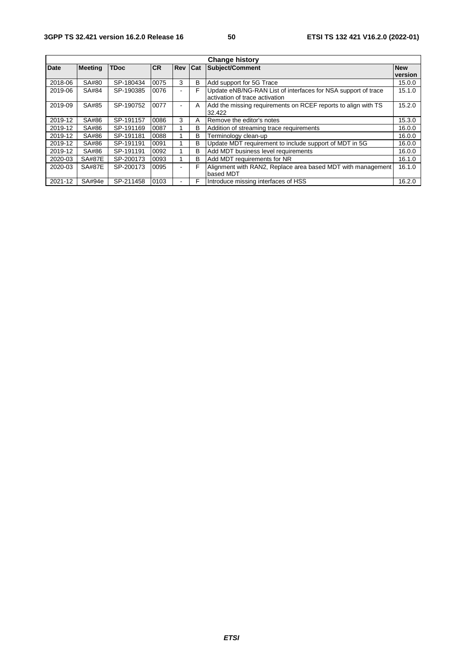| <b>Change history</b> |                |             |      |                          |            |                                                               |            |  |
|-----------------------|----------------|-------------|------|--------------------------|------------|---------------------------------------------------------------|------------|--|
| <b>Date</b>           | <b>Meeting</b> | <b>TDoc</b> | ICR. | <b>Rev</b>               | <b>Cat</b> | Subject/Comment                                               | <b>New</b> |  |
|                       |                |             |      |                          |            |                                                               | version    |  |
| 2018-06               | SA#80          | SP-180434   | 0075 | 3                        | B          | Add support for 5G Trace                                      | 15.0.0     |  |
| 2019-06               | SA#84          | SP-190385   | 0076 |                          | F          | Update eNB/NG-RAN List of interfaces for NSA support of trace | 15.1.0     |  |
|                       |                |             |      |                          |            | activation of trace activation                                |            |  |
| 2019-09               | SA#85          | SP-190752   | 0077 |                          | A          | Add the missing requirements on RCEF reports to align with TS | 15.2.0     |  |
|                       |                |             |      |                          |            | 32.422                                                        |            |  |
| 2019-12               | SA#86          | SP-191157   | 0086 | 3                        | A          | Remove the editor's notes                                     | 15.3.0     |  |
| 2019-12               | SA#86          | SP-191169   | 0087 |                          | в          | Addition of streaming trace requirements                      | 16.0.0     |  |
| 2019-12               | SA#86          | SP-191181   | 0088 |                          | B          | Terminology clean-up                                          | 16.0.0     |  |
| 2019-12               | SA#86          | SP-191191   | 0091 |                          | B          | Update MDT requirement to include support of MDT in 5G        | 16.0.0     |  |
| 2019-12               | SA#86          | SP-191191   | 0092 |                          | B          | Add MDT business level requirements                           | 16.0.0     |  |
| 2020-03               | <b>SA#87E</b>  | SP-200173   | 0093 |                          | B          | Add MDT requirements for NR                                   | 16.1.0     |  |
| 2020-03               | <b>SA#87E</b>  | SP-200173   | 0095 | $\overline{\phantom{0}}$ | F          | Alignment with RAN2, Replace area based MDT with management   | 16.1.0     |  |
|                       |                |             |      |                          |            | based MDT                                                     |            |  |
| 2021-12               | SA#94e         | SP-211458   | 0103 |                          | F          | Introduce missing interfaces of HSS                           | 16.2.0     |  |